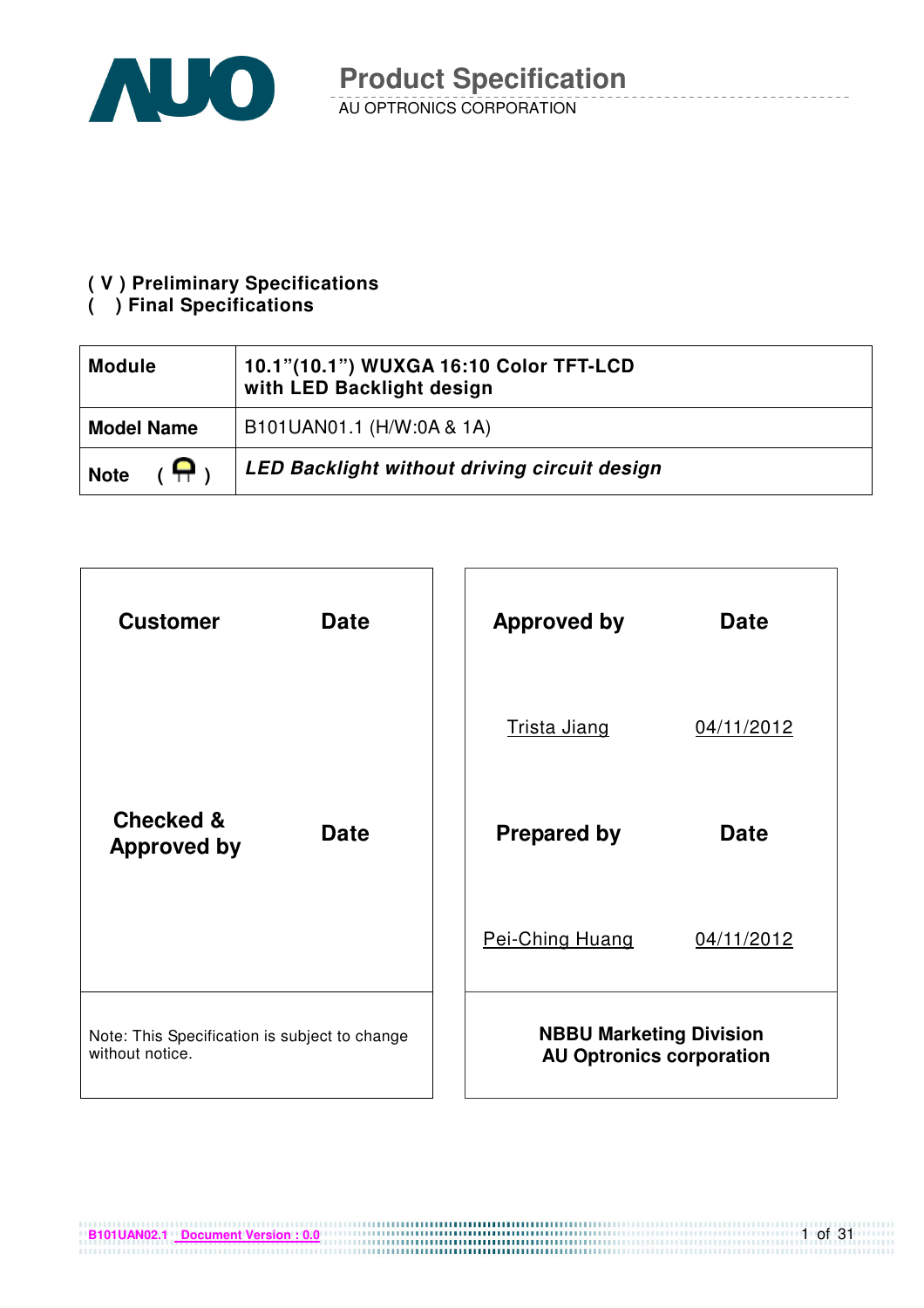

### **( V ) Preliminary Specifications**

### **( ) Final Specifications**

| <b>Module</b>                 | 10.1"(10.1") WUXGA 16:10 Color TFT-LCD<br>with LED Backlight design |  |  |
|-------------------------------|---------------------------------------------------------------------|--|--|
| <b>Model Name</b>             | B101UAN01.1 (H/W:0A & 1A)                                           |  |  |
| $(\mathbf{P})$<br><b>Note</b> | LED Backlight without driving circuit design                        |  |  |

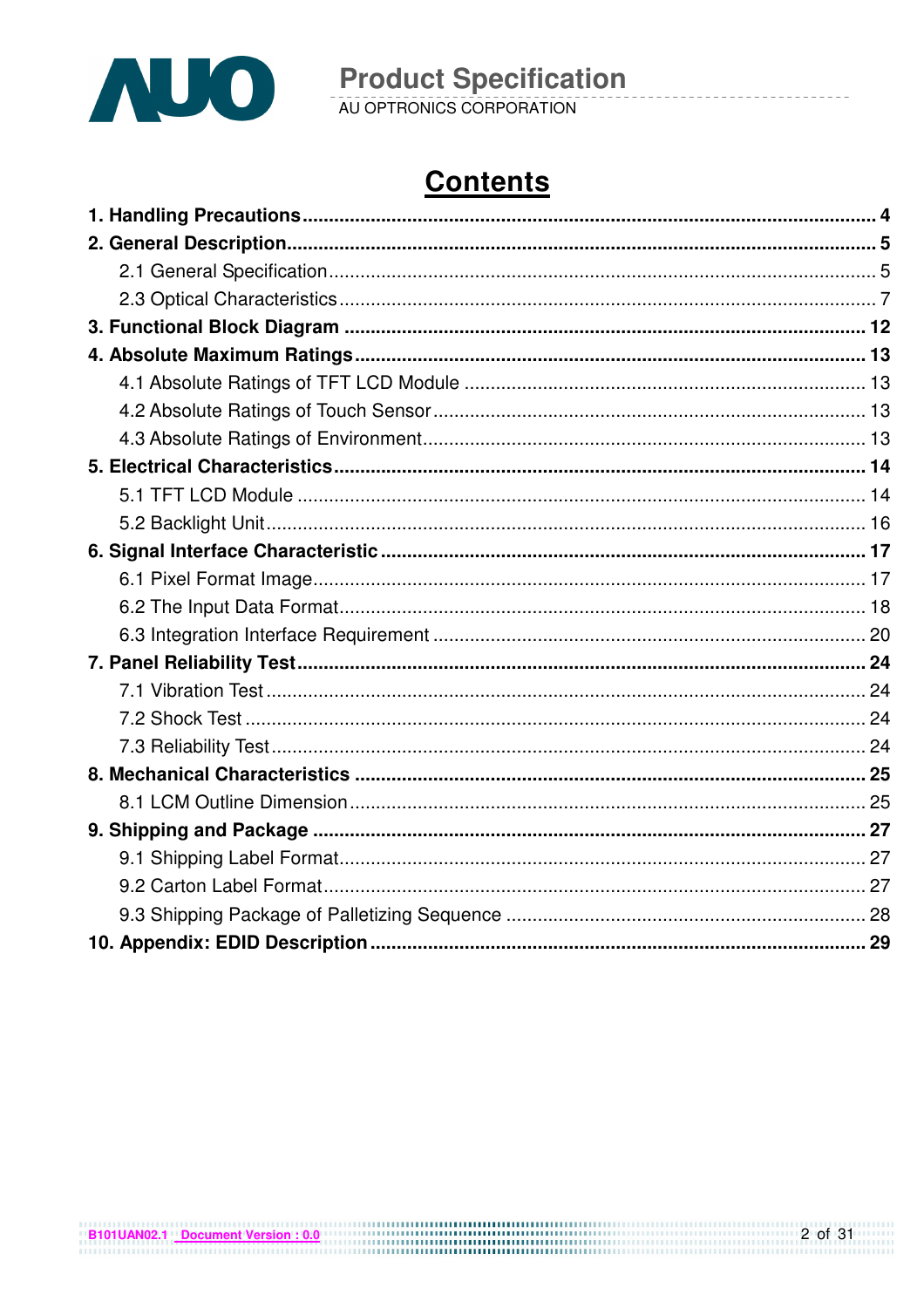

**Product Specification**<br>AU OPTRONICS CORPORATION

# **Contents**

 $2$  of 31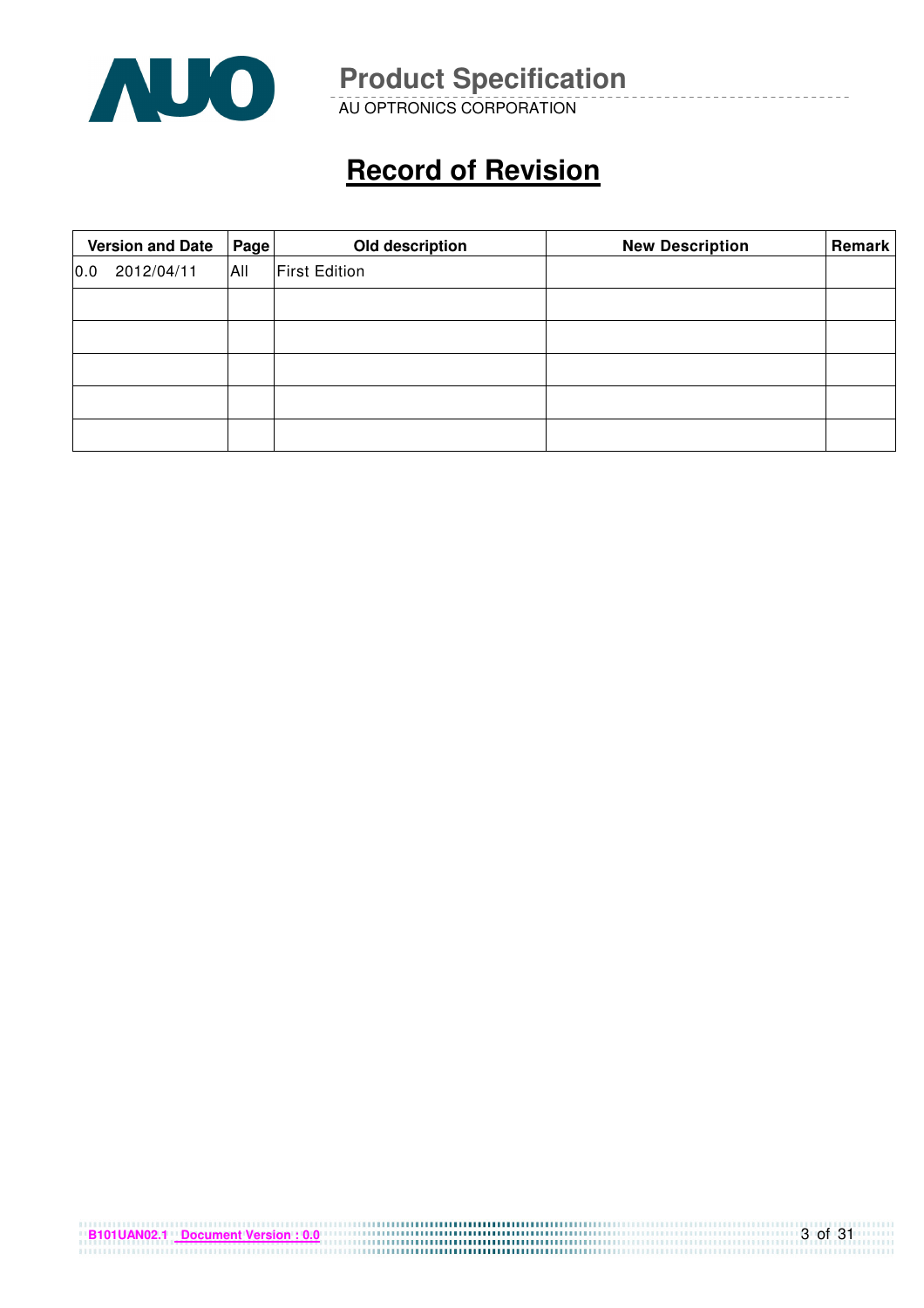

AU OPTRONICS CORPORATION

# **Record of Revision**

|     | <b>Version and Date</b> | Page | Old description      | <b>New Description</b> | <b>Remark</b> |
|-----|-------------------------|------|----------------------|------------------------|---------------|
| 0.0 | 2012/04/11              | All  | <b>First Edition</b> |                        |               |
|     |                         |      |                      |                        |               |
|     |                         |      |                      |                        |               |
|     |                         |      |                      |                        |               |
|     |                         |      |                      |                        |               |
|     |                         |      |                      |                        |               |

| B101UAN02.1 Document Version: 0.0 |  |
|-----------------------------------|--|
|                                   |  |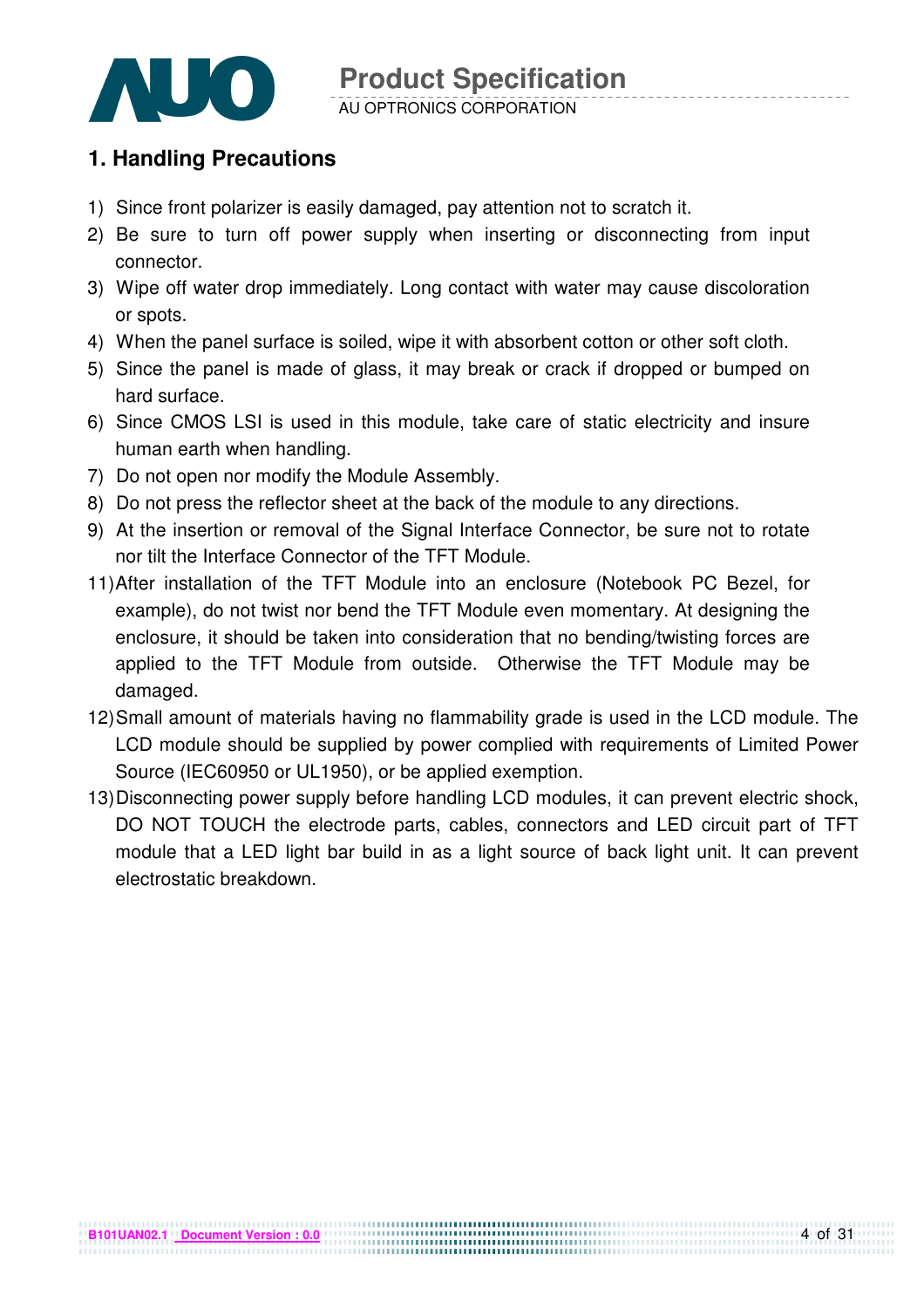

#### AU OPTRONICS CORPORATION

### **1. Handling Precautions**

- 1) Since front polarizer is easily damaged, pay attention not to scratch it.
- 2) Be sure to turn off power supply when inserting or disconnecting from input connector.
- 3) Wipe off water drop immediately. Long contact with water may cause discoloration or spots.
- 4) When the panel surface is soiled, wipe it with absorbent cotton or other soft cloth.
- 5) Since the panel is made of glass, it may break or crack if dropped or bumped on hard surface.
- 6) Since CMOS LSI is used in this module, take care of static electricity and insure human earth when handling.
- 7) Do not open nor modify the Module Assembly.
- 8) Do not press the reflector sheet at the back of the module to any directions.
- 9) At the insertion or removal of the Signal Interface Connector, be sure not to rotate nor tilt the Interface Connector of the TFT Module.
- 11) After installation of the TFT Module into an enclosure (Notebook PC Bezel, for example), do not twist nor bend the TFT Module even momentary. At designing the enclosure, it should be taken into consideration that no bending/twisting forces are applied to the TFT Module from outside. Otherwise the TFT Module may be damaged.
- 12) Small amount of materials having no flammability grade is used in the LCD module. The LCD module should be supplied by power complied with requirements of Limited Power Source (IEC60950 or UL1950), or be applied exemption.
- 13) Disconnecting power supply before handling LCD modules, it can prevent electric shock, DO NOT TOUCH the electrode parts, cables, connectors and LED circuit part of TFT module that a LED light bar build in as a light source of back light unit. It can prevent electrostatic breakdown.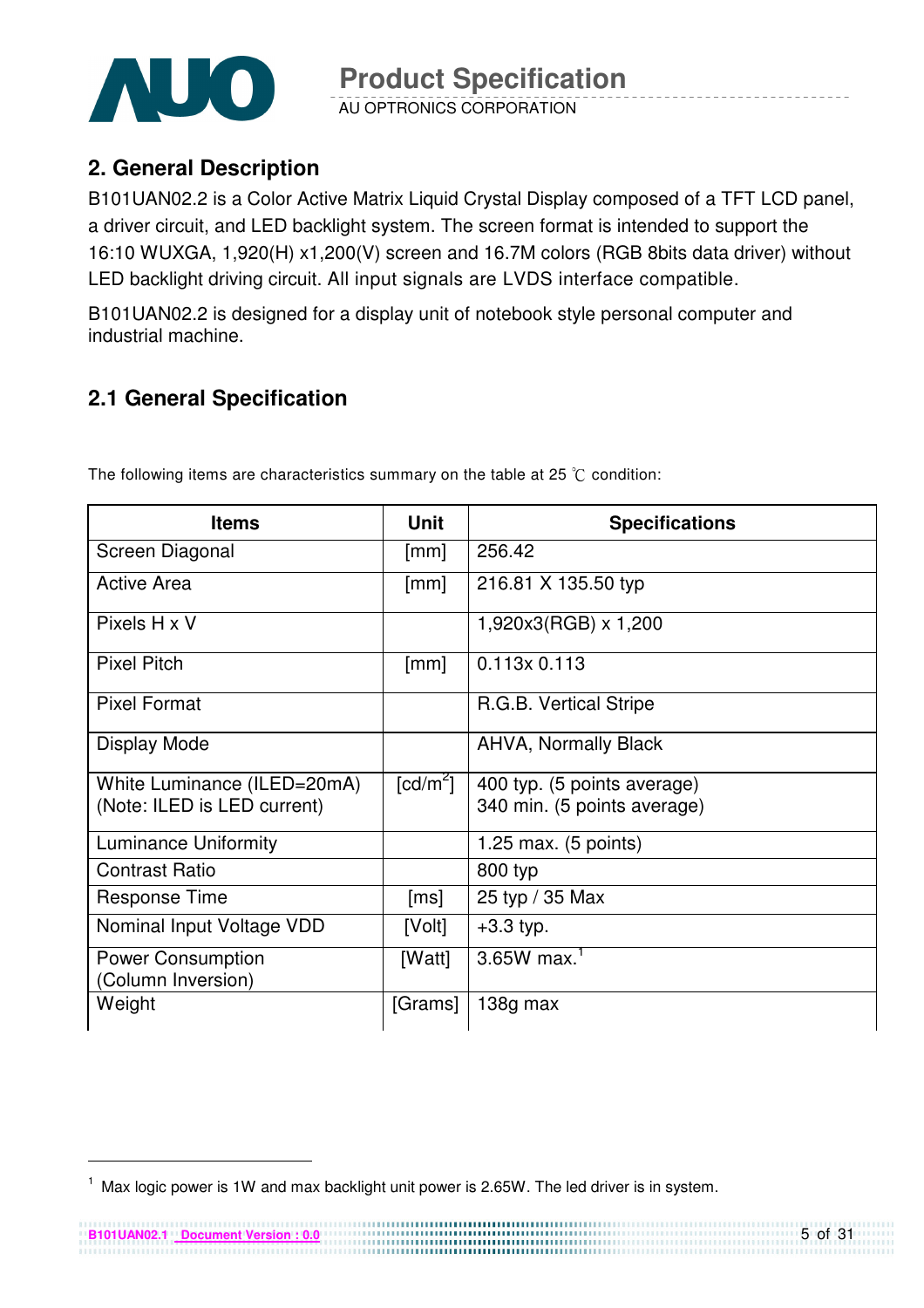

AU OPTRONICS CORPORATION

### **2. General Description**

B101UAN02.2 is a Color Active Matrix Liquid Crystal Display composed of a TFT LCD panel, a driver circuit, and LED backlight system. The screen format is intended to support the 16:10 WUXGA, 1,920(H) x1,200(V) screen and 16.7M colors (RGB 8bits data driver) without LED backlight driving circuit. All input signals are LVDS interface compatible.

B101UAN02.2 is designed for a display unit of notebook style personal computer and industrial machine.

### **2.1 General Specification**

| <b>Items</b>                                               | <b>Unit</b>            | <b>Specifications</b>                                      |
|------------------------------------------------------------|------------------------|------------------------------------------------------------|
| Screen Diagonal                                            | $\lceil mm \rceil$     | 256.42                                                     |
| Active Area                                                | [mm]                   | 216.81 X 135.50 typ                                        |
| Pixels H x V                                               |                        | 1,920x3(RGB) x 1,200                                       |
| <b>Pixel Pitch</b>                                         | $\lceil mm \rceil$     | $0.113 \times 0.113$                                       |
| <b>Pixel Format</b>                                        |                        | R.G.B. Vertical Stripe                                     |
| Display Mode                                               |                        | <b>AHVA, Normally Black</b>                                |
| White Luminance (ILED=20mA)<br>(Note: ILED is LED current) | $\lceil cd/m^2 \rceil$ | 400 typ. (5 points average)<br>340 min. (5 points average) |
| <b>Luminance Uniformity</b>                                |                        | 1.25 max. $(5 \text{ points})$                             |
| <b>Contrast Ratio</b>                                      |                        | 800 typ                                                    |
| <b>Response Time</b>                                       | [ms]                   | 25 typ / 35 Max                                            |
| Nominal Input Voltage VDD                                  | [Volt]                 | $+3.3$ typ.                                                |
| <b>Power Consumption</b><br>(Column Inversion)             | [Watt]                 | $3.65W$ max. <sup>1</sup>                                  |
| Weight                                                     | [Grams]                | 138g max                                                   |

The following items are characteristics summary on the table at 25  $\degree$ C condition:

-

 $1$  Max logic power is 1W and max backlight unit power is 2.65W. The led driver is in system.

**B101UAN02.1 Document Version : 0.0**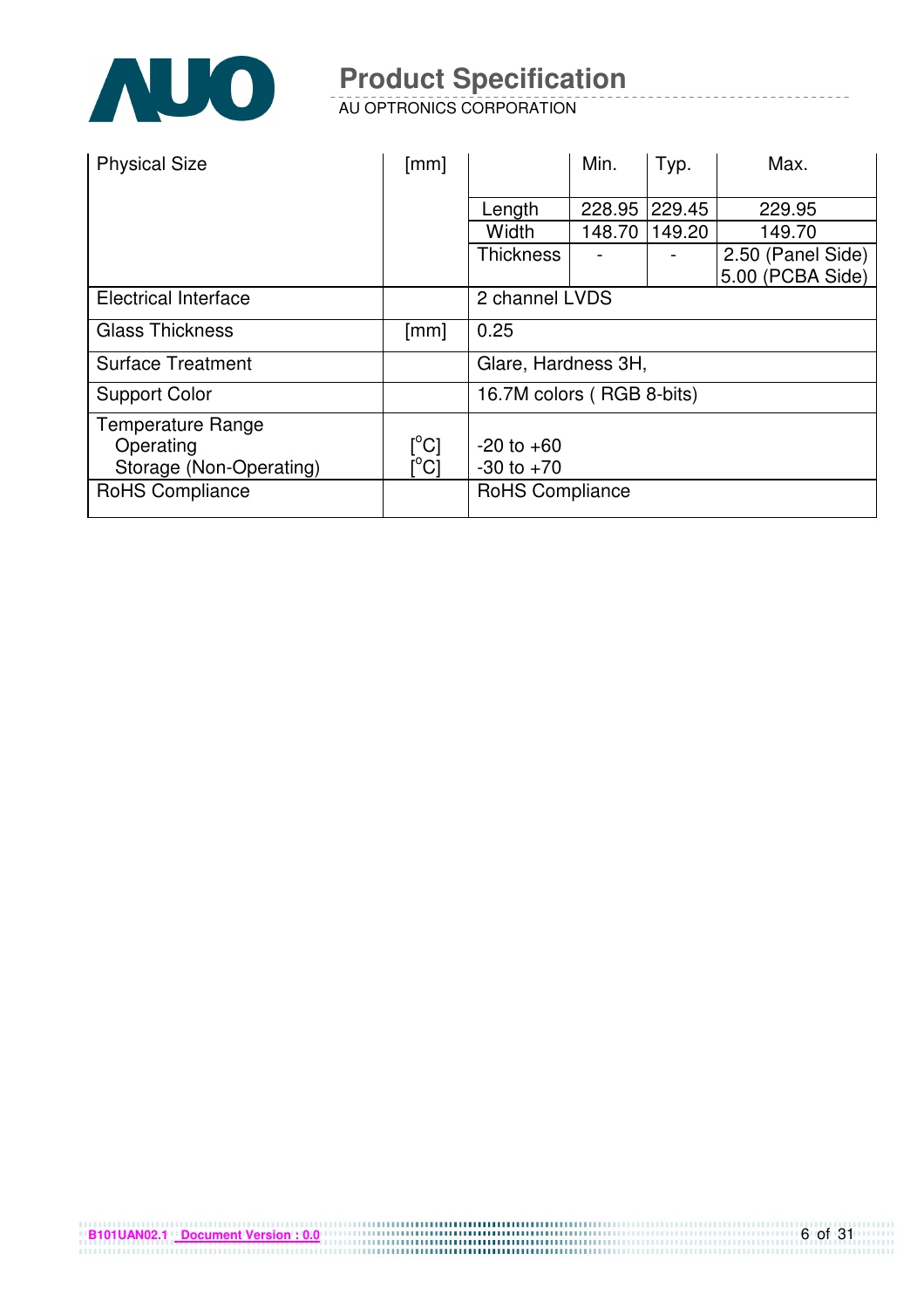

AU OPTRONICS CORPORATION

| <b>Physical Size</b>           | [mm]                      |                           | Min.   | Typ.   | Max.              |  |
|--------------------------------|---------------------------|---------------------------|--------|--------|-------------------|--|
|                                |                           | Length                    | 228.95 | 229.45 | 229.95            |  |
|                                |                           |                           |        |        |                   |  |
|                                |                           | Width                     | 148.70 | 149.20 | 149.70            |  |
|                                |                           | <b>Thickness</b>          |        |        | 2.50 (Panel Side) |  |
|                                |                           |                           |        |        | 5.00 (PCBA Side)  |  |
| <b>Electrical Interface</b>    |                           | 2 channel LVDS            |        |        |                   |  |
| <b>Glass Thickness</b>         | [mm]                      | 0.25                      |        |        |                   |  |
| <b>Surface Treatment</b>       |                           | Glare, Hardness 3H,       |        |        |                   |  |
| <b>Support Color</b>           |                           | 16.7M colors (RGB 8-bits) |        |        |                   |  |
| Temperature Range<br>Operating | $[^{\circ}C]$             | $-20$ to $+60$            |        |        |                   |  |
| Storage (Non-Operating)        | $\lceil{^{\circ}C}\rceil$ | $-30$ to $+70$            |        |        |                   |  |
| RoHS Compliance                |                           | <b>RoHS Compliance</b>    |        |        |                   |  |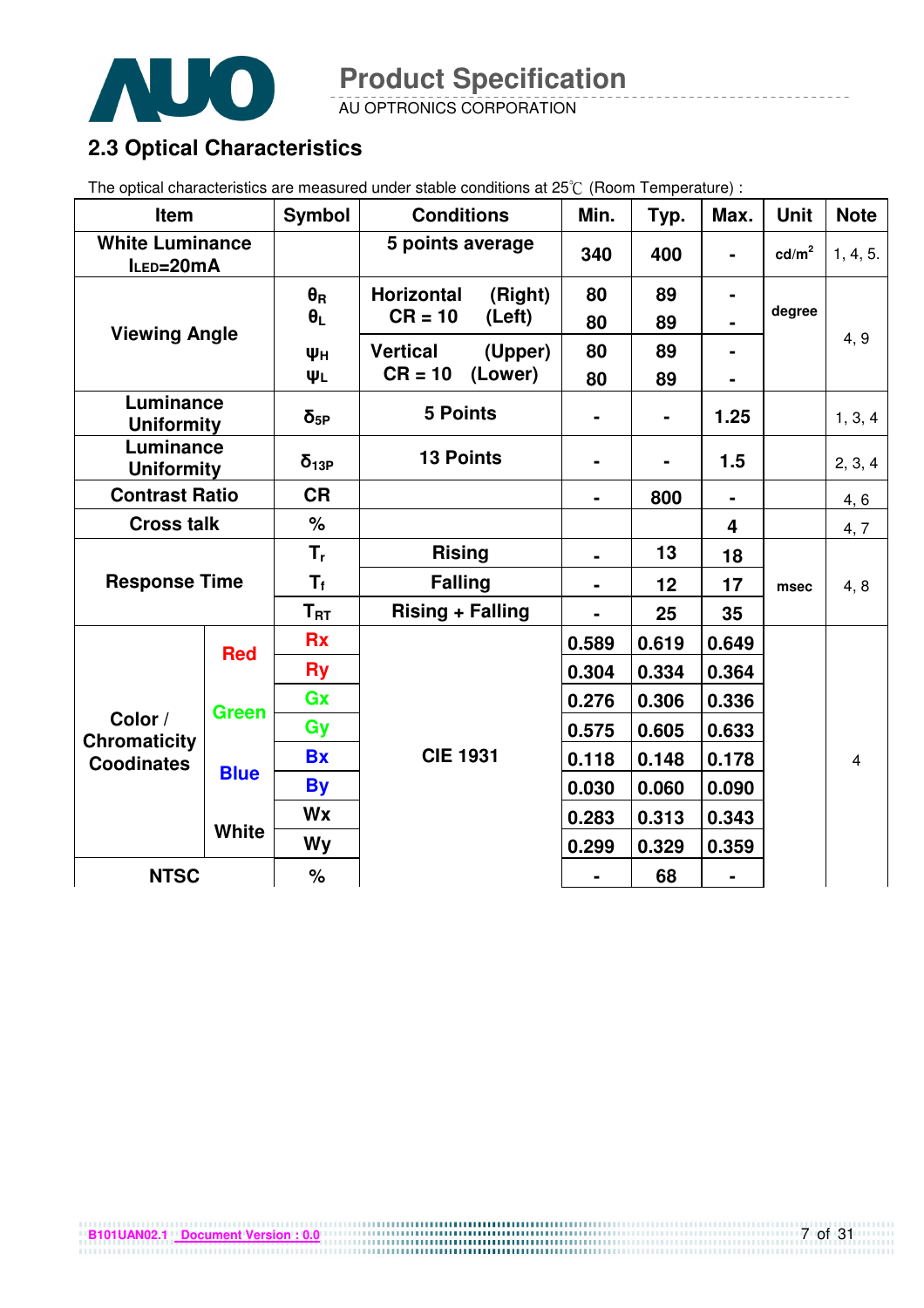

AU OPTRONICS CORPORATION

### **2.3 Optical Characteristics**

The optical characteristics are measured under stable conditions at 25°C (Room Temperature) :

| Item                                |              | <b>Symbol</b>    | <b>Conditions</b>            | Min.           | Typ.           | Max.           | <b>Unit</b>       | <b>Note</b> |
|-------------------------------------|--------------|------------------|------------------------------|----------------|----------------|----------------|-------------------|-------------|
| <b>White Luminance</b><br>ILED=20mA |              |                  | 5 points average             | 340            | 400            |                | cd/m <sup>2</sup> | 1, 4, 5.    |
| <b>Viewing Angle</b>                |              | $\theta_{\rm R}$ | <b>Horizontal</b><br>(Right) | 80             | 89             | $\blacksquare$ |                   |             |
|                                     |              | $\theta_L$       | $CR = 10$<br>(Left)          | 80             | 89             |                | degree            |             |
|                                     |              | Ψн               | <b>Vertical</b><br>(Upper)   | 80             | 89             |                |                   | 4, 9        |
|                                     |              | ΨL               | $CR = 10$<br>(Lower)         | 80             | 89             |                |                   |             |
| Luminance<br><b>Uniformity</b>      |              | $\delta_{5P}$    | <b>5 Points</b>              | ۰              | $\blacksquare$ | 1.25           |                   | 1, 3, 4     |
| Luminance<br><b>Uniformity</b>      |              | $\delta_{13P}$   | <b>13 Points</b>             |                |                | 1.5            |                   | 2, 3, 4     |
| <b>Contrast Ratio</b>               |              | <b>CR</b>        |                              | ۰              | 800            | $\blacksquare$ |                   | 4, 6        |
| <b>Cross talk</b>                   |              | %                |                              |                |                | 4              |                   | 4,7         |
|                                     |              | $T_{r}$          | <b>Rising</b>                | $\blacksquare$ | 13             | 18             |                   |             |
| <b>Response Time</b>                |              | $T_{\rm f}$      | <b>Falling</b>               |                | 12             | 17             | msec              | 4, 8        |
|                                     |              | $T_{RT}$         | <b>Rising + Falling</b>      |                | 25             | 35             |                   |             |
|                                     | <b>Red</b>   | <b>Rx</b>        |                              | 0.589          | 0.619          | 0.649          |                   |             |
|                                     |              | <b>Ry</b>        |                              | 0.304          | 0.334          | 0.364          |                   |             |
|                                     | <b>Green</b> | Gx               |                              | 0.276          | 0.306          | 0.336          |                   |             |
| Color /<br><b>Chromaticity</b>      |              | Gy               |                              | 0.575          | 0.605          | 0.633          |                   |             |
| <b>Coodinates</b>                   |              | <b>Bx</b>        | <b>CIE 1931</b>              | 0.118          | 0.148          | 0.178          |                   | 4           |
|                                     | <b>Blue</b>  | <b>By</b>        |                              | 0.030          | 0.060          | 0.090          |                   |             |
|                                     |              | <b>Wx</b>        |                              | 0.283          | 0.313          | 0.343          |                   |             |
|                                     | <b>White</b> | Wy               |                              | 0.299          | 0.329          | 0.359          |                   |             |
| <b>NTSC</b>                         |              | %                |                              |                | 68             |                |                   |             |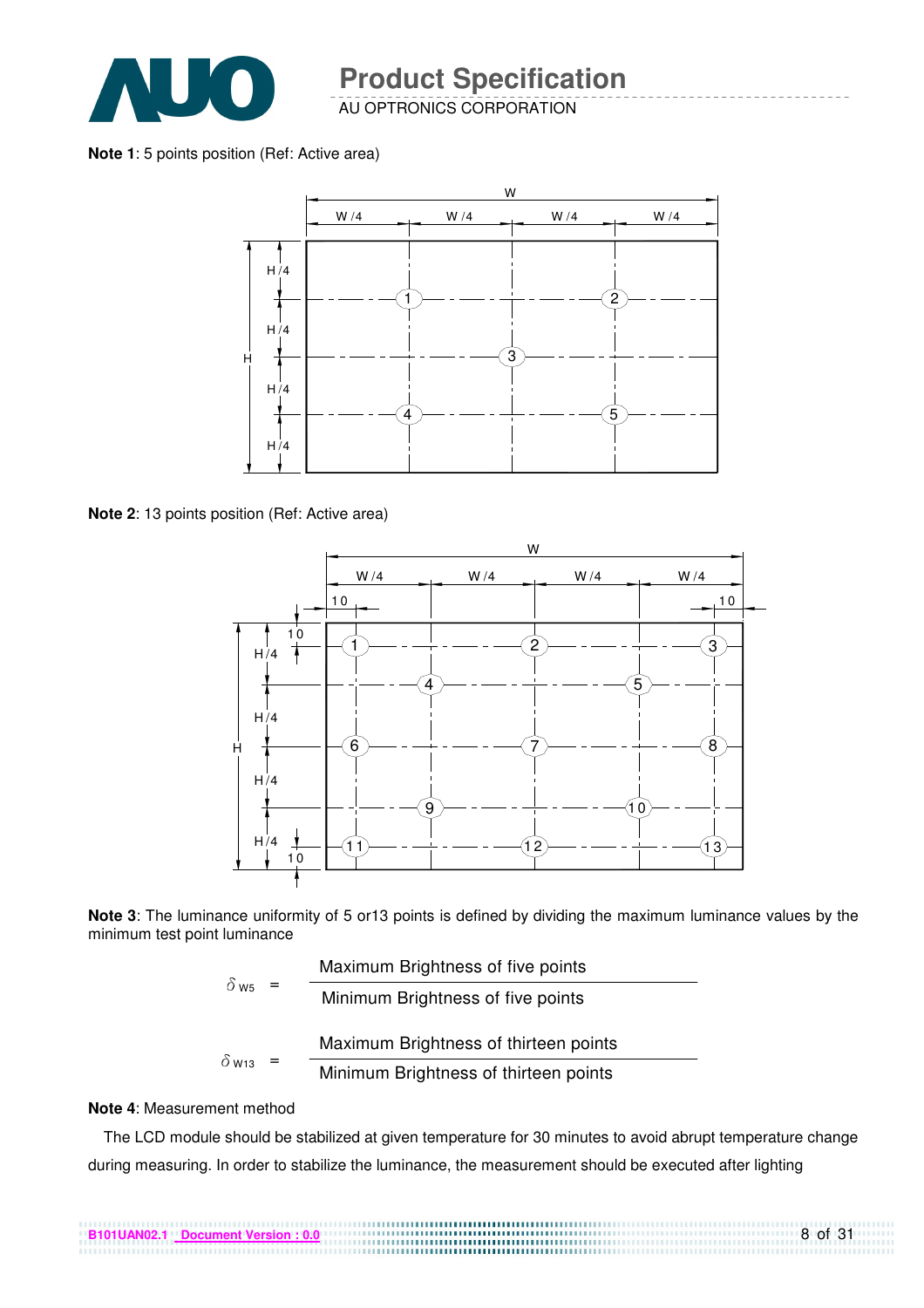

AU OPTRONICS CORPORATION

**Note 1**: 5 points position (Ref: Active area)



**Note 2**: 13 points position (Ref: Active area)



**Note 3**: The luminance uniformity of 5 or13 points is defined by dividing the maximum luminance values by the minimum test point luminance

| $\delta$ w <sub>5</sub> = | Maximum Brightness of five points     |
|---------------------------|---------------------------------------|
|                           | Minimum Brightness of five points     |
|                           | Maximum Brightness of thirteen points |
| $\delta$ W13              | Minimum Brightness of thirteen points |

#### **Note 4**: Measurement method

The LCD module should be stabilized at given temperature for 30 minutes to avoid abrupt temperature change during measuring. In order to stabilize the luminance, the measurement should be executed after lighting

8 of 31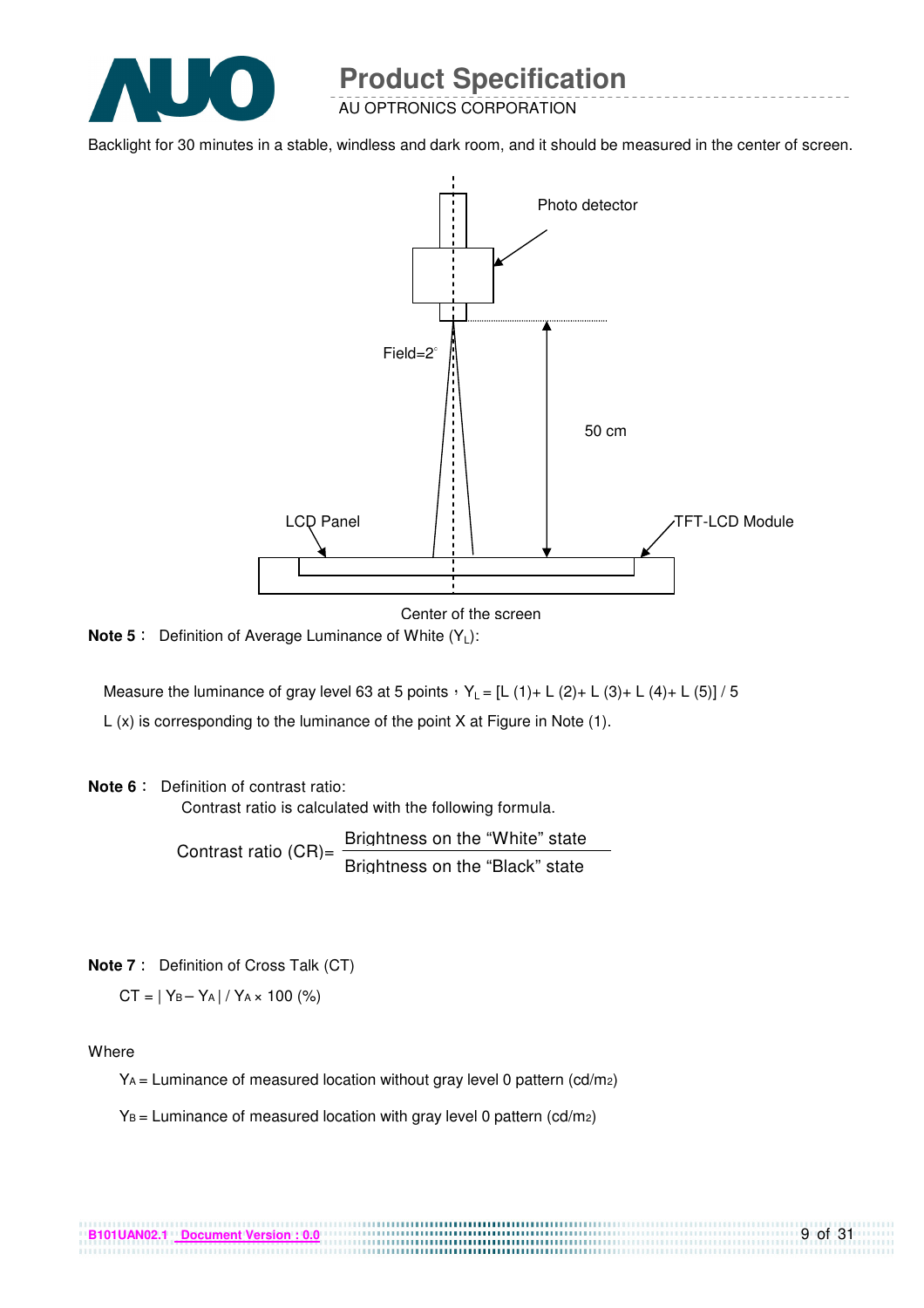

AU OPTRONICS CORPORATION

Backlight for 30 minutes in a stable, windless and dark room, and it should be measured in the center of screen.



Center of the screen

**Note 5** : Definition of Average Luminance of White (Y<sub>L</sub>):

Measure the luminance of gray level 63 at 5 points  $Y_L = [L (1) + L (2) + L (3) + L (4) + L (5)] / 5$ L (x) is corresponding to the luminance of the point X at Figure in Note (1).

#### **Note 6** : Definition of contrast ratio:

Contrast ratio is calculated with the following formula.

Contrast ratio  $(CR)$ = Brightness on the "White" state Brightness on the "Black" state

**Note 7** : Definition of Cross Talk (CT)

 $CT = |Y_B - Y_A| / Y_A \times 100$  (%)

Where

 $Y_A$  = Luminance of measured location without gray level 0 pattern (cd/m<sub>2</sub>)

.................................

 $Y_B =$  Luminance of measured location with gray level 0 pattern (cd/m2)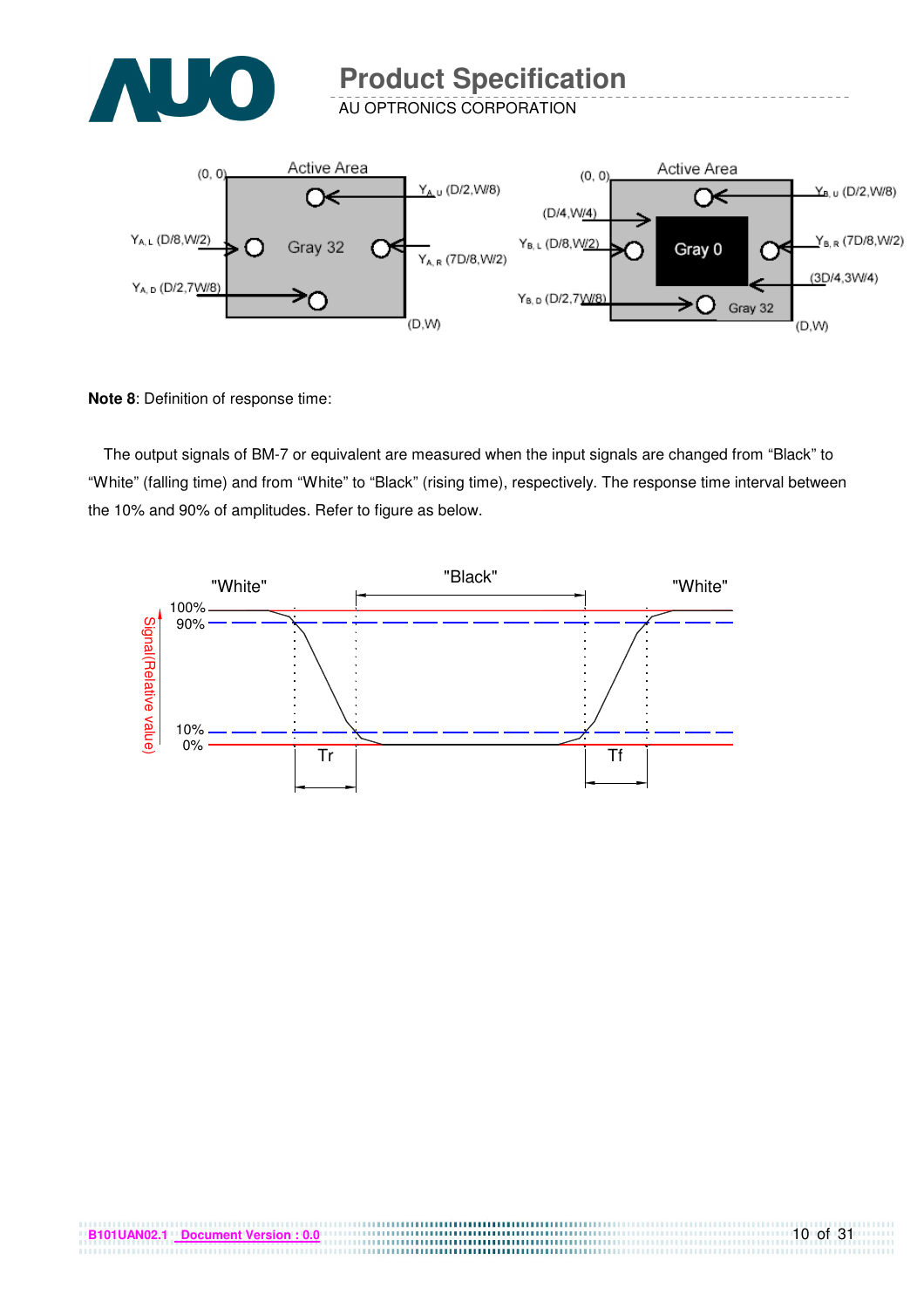

AU OPTRONICS CORPORATION



**Note 8**: Definition of response time:

The output signals of BM-7 or equivalent are measured when the input signals are changed from "Black" to "White" (falling time) and from "White" to "Black" (rising time), respectively. The response time interval between the 10% and 90% of amplitudes. Refer to figure as below.

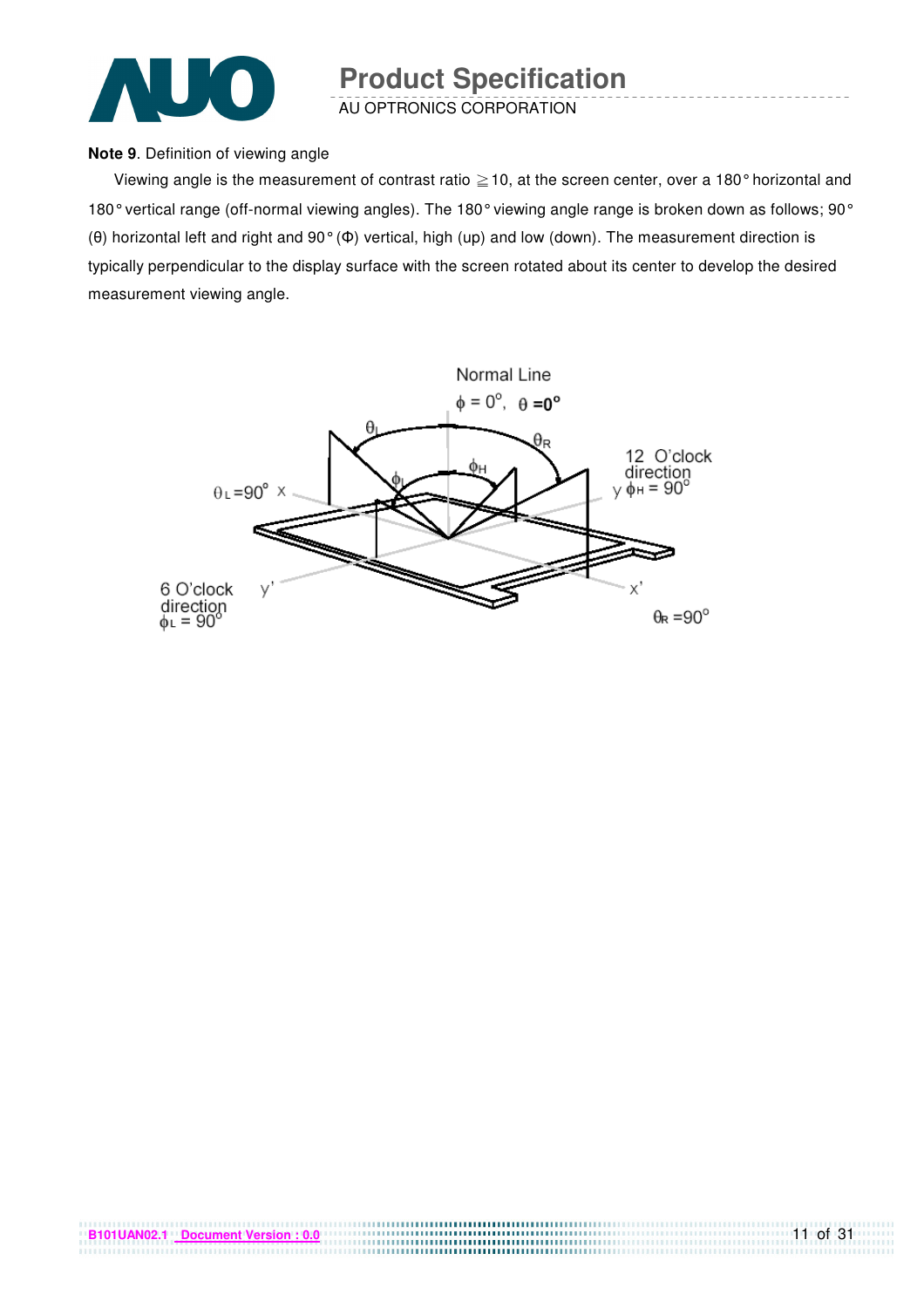

AU OPTRONICS CORPORATION

#### **Note 9**. Definition of viewing angle

Viewing angle is the measurement of contrast ratio  $\geq$  10, at the screen center, over a 180° horizontal and 180° vertical range (off-normal viewing angles). The 180° viewing angle range is broken down as follows; 90° (θ) horizontal left and right and 90° (Φ) vertical, high (up) and low (down). The measurement direction is typically perpendicular to the display surface with the screen rotated about its center to develop the desired measurement viewing angle.

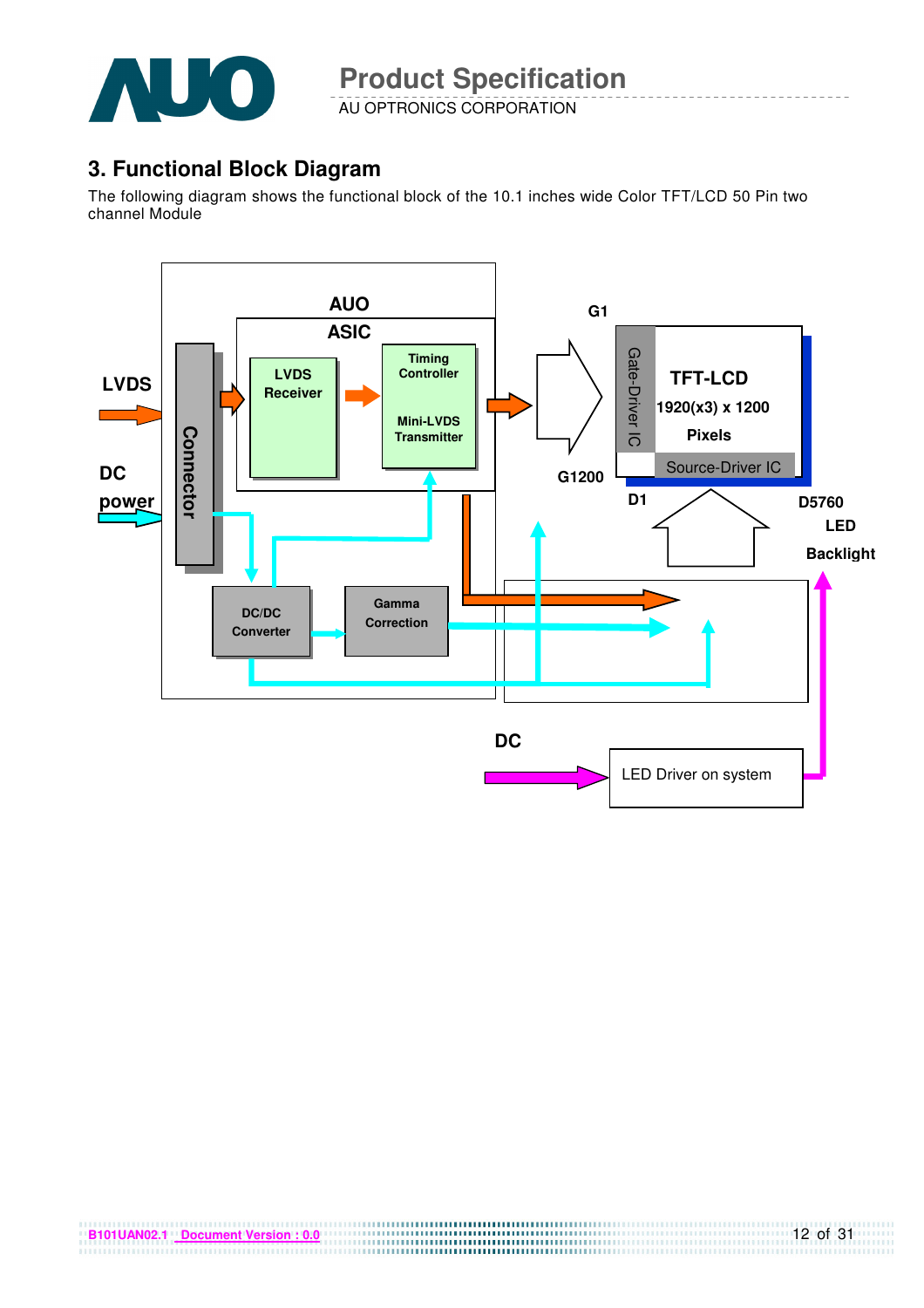

AU OPTRONICS CORPORATION

### **3. Functional Block Diagram**

The following diagram shows the functional block of the 10.1 inches wide Color TFT/LCD 50 Pin two channel Module

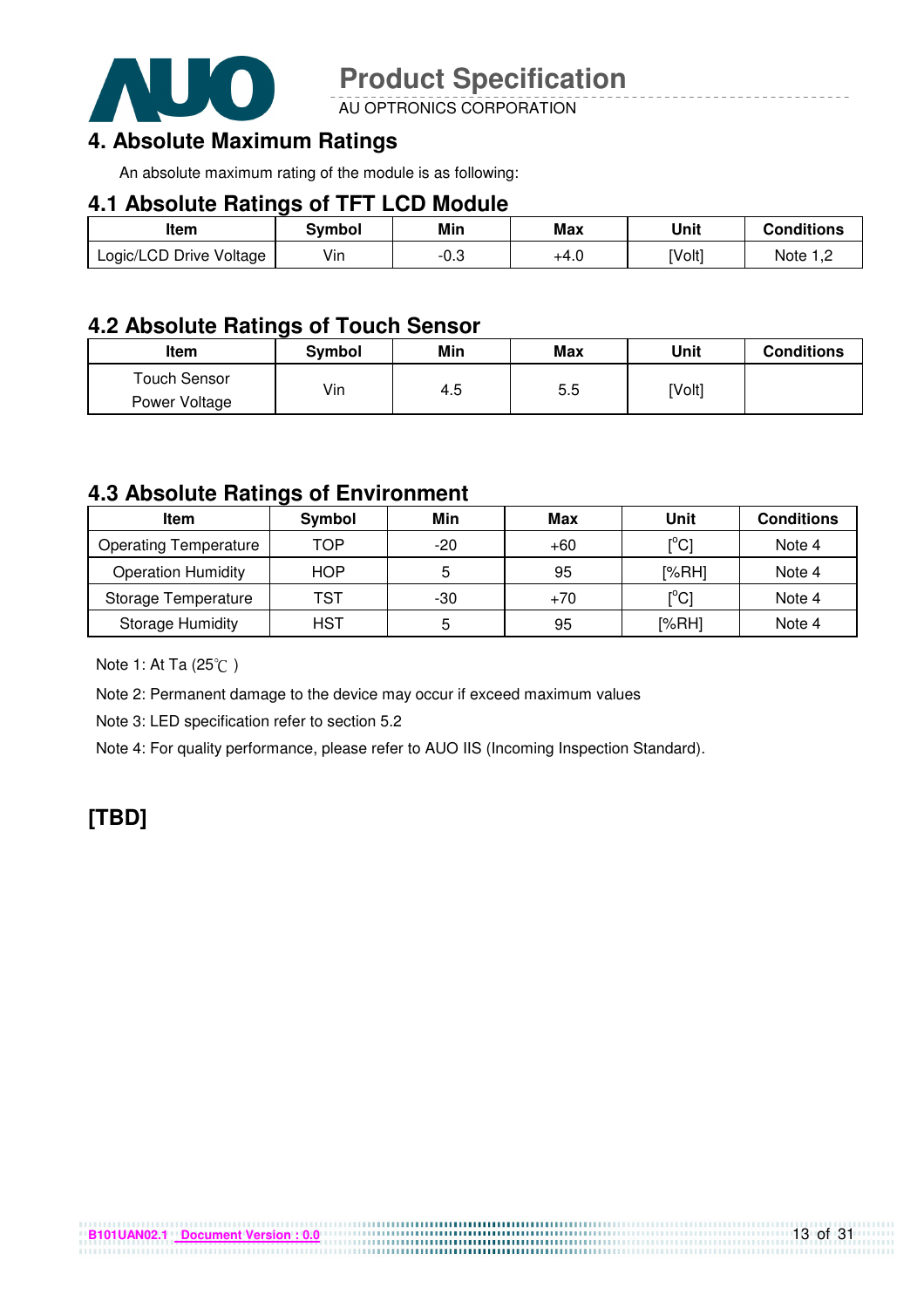

AU OPTRONICS CORPORATION

### **4. Absolute Maximum Ratings**

An absolute maximum rating of the module is as following:

#### **4.1 Absolute Ratings of TFT LCD Module**

| Item                    | Svmbol | Min        | <b>Max</b> | Unit   | <b>Conditions</b> |
|-------------------------|--------|------------|------------|--------|-------------------|
| Logic/LCD Drive Voltage | Vin    | ∩ິ<br>-v.o | +4.0       | [Volt] | Note $1,2$        |

### **4.2 Absolute Ratings of Touch Sensor**

| Item                | Symbol | Min | Max | Unit   | <b>Conditions</b> |
|---------------------|--------|-----|-----|--------|-------------------|
| <b>Touch Sensor</b> |        |     |     |        |                   |
| Power Voltage       | Vin    | 4.5 | 5.5 | [Volt] |                   |

### **4.3 Absolute Ratings of Environment**

| Item                         | Symbol     | Min | Max   | Unit                                    | <b>Conditions</b> |
|------------------------------|------------|-----|-------|-----------------------------------------|-------------------|
| <b>Operating Temperature</b> | TOP        | -20 | $+60$ | $\mathsf{I}^\circ\mathsf{C} \mathsf{I}$ | Note 4            |
| <b>Operation Humidity</b>    | <b>HOP</b> | 5   | 95    | [%RH]                                   | Note 4            |
| Storage Temperature          | TST        | -30 | $+70$ | $\mathsf{I}^\circ\mathsf{C} \mathsf{I}$ | Note 4            |
| <b>Storage Humidity</b>      | <b>HST</b> | 5   | 95    | [%RH]                                   | Note 4            |

....................................

Note 1: At Ta (25°C)

Note 2: Permanent damage to the device may occur if exceed maximum values

Note 3: LED specification refer to section 5.2

Note 4: For quality performance, please refer to AUO IIS (Incoming Inspection Standard).

### **[TBD]**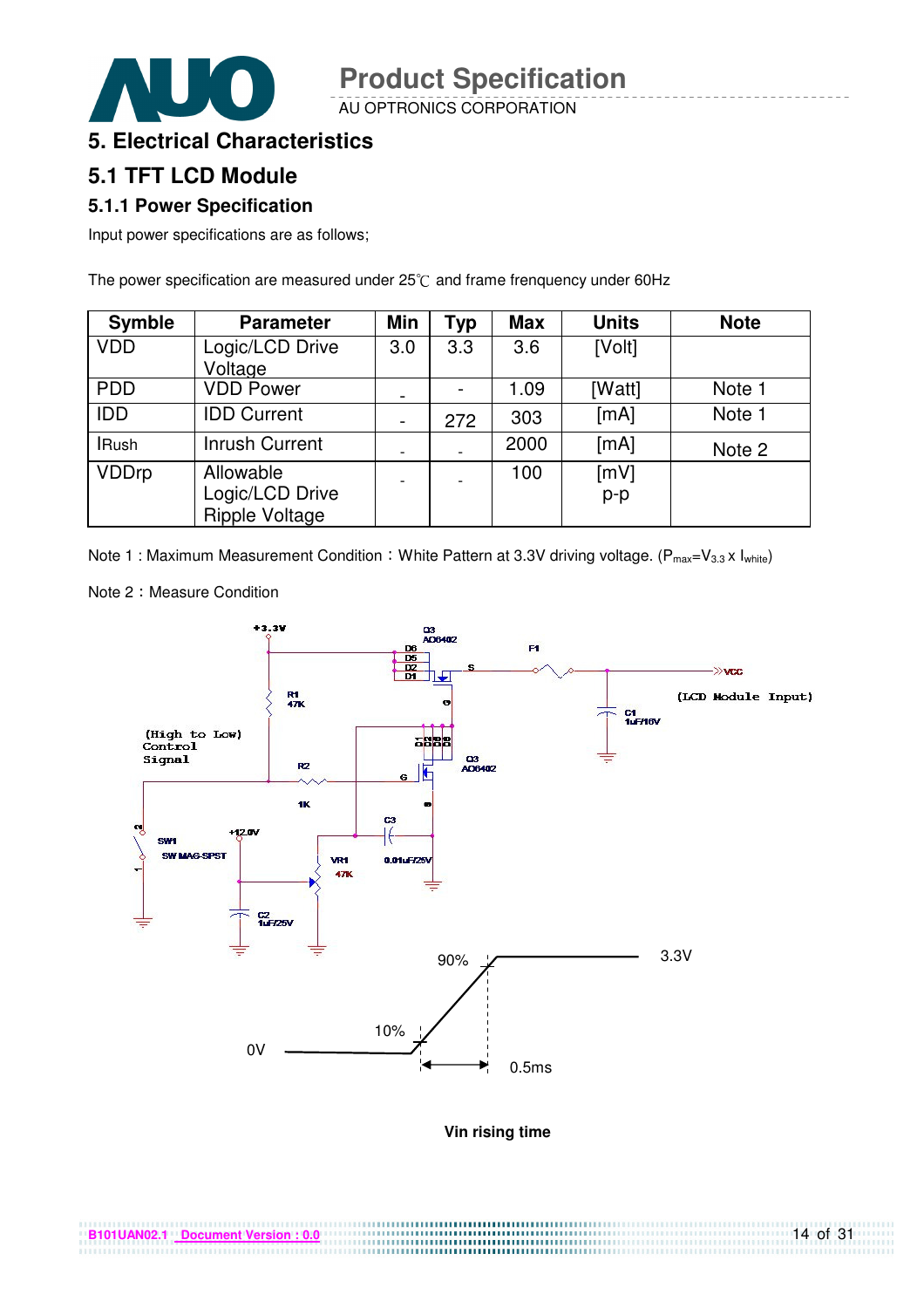AU OPTRONICS CORPORATION

### **5. Electrical Characteristics**

### **5.1 TFT LCD Module**

#### **5.1.1 Power Specification**

Input power specifications are as follows;

The power specification are measured under  $25^{\circ}$ C and frame frenquency under 60Hz

| <b>Symble</b> | <b>Parameter</b>                                      | <b>Min</b>               | <b>Typ</b> | <b>Max</b> | <b>Units</b>  | <b>Note</b> |
|---------------|-------------------------------------------------------|--------------------------|------------|------------|---------------|-------------|
| <b>VDD</b>    | Logic/LCD Drive<br>Voltage                            | 3.0                      | 3.3        | 3.6        | [Volt]        |             |
| <b>PDD</b>    | <b>VDD Power</b>                                      | $\overline{\phantom{a}}$ |            | 1.09       | [Watt]        | Note 1      |
| <b>IDD</b>    | <b>IDD Current</b>                                    |                          | 272        | 303        | [mA]          | Note 1      |
| <b>IRush</b>  | <b>Inrush Current</b>                                 |                          |            | 2000       | [mA]          | Note 2      |
| <b>VDDrp</b>  | Allowable<br>Logic/LCD Drive<br><b>Ripple Voltage</b> |                          |            | 100        | [mV]<br>$p-p$ |             |

Note 1 : Maximum Measurement Condition : White Pattern at 3.3V driving voltage. ( $P_{max}=V_{3.3} \times I_{white}$ )



Note 2: Measure Condition

**Vin rising time**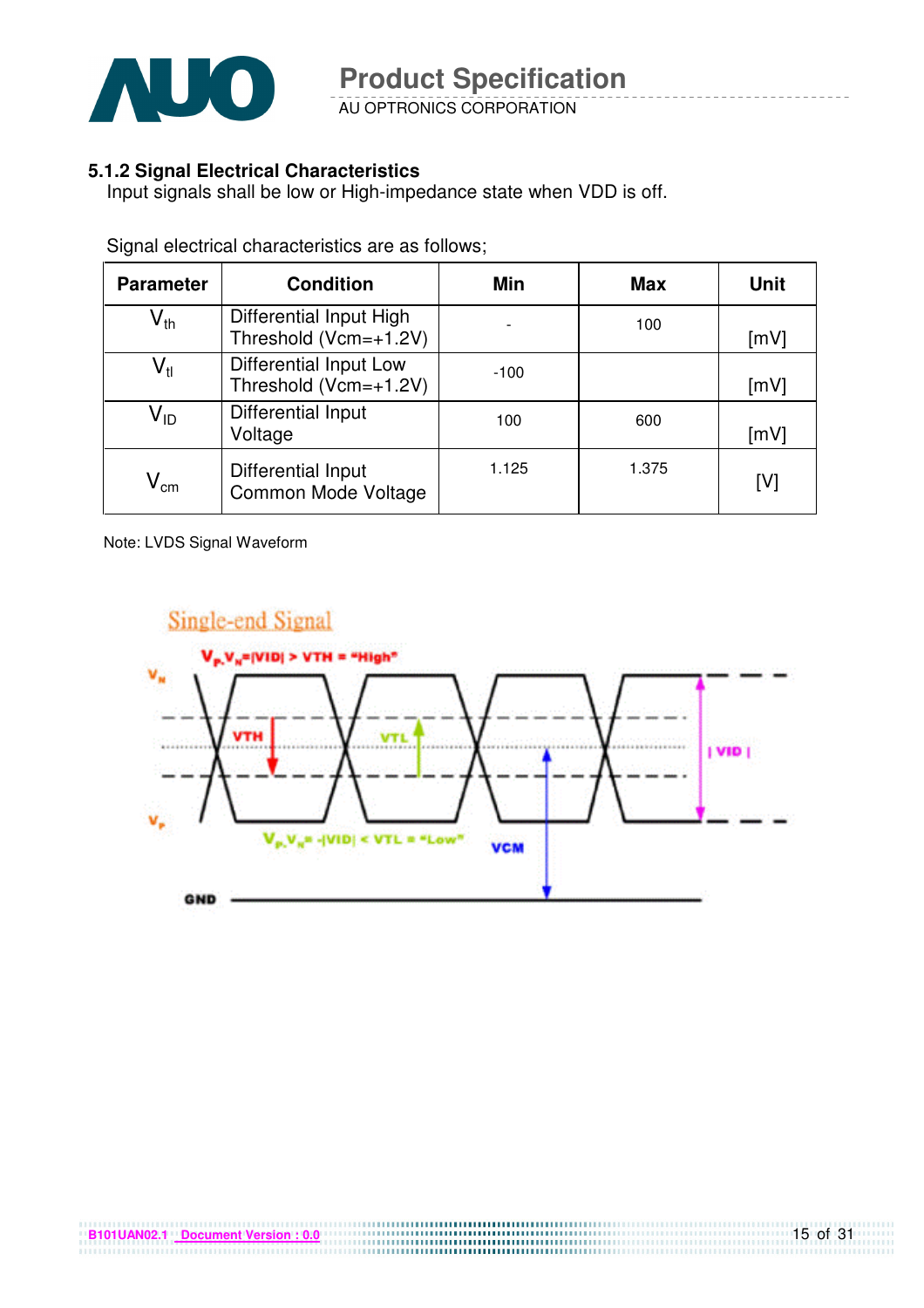

AU OPTRONICS CORPORATION

#### **5.1.2 Signal Electrical Characteristics**

Input signals shall be low or High-impedance state when VDD is off.

| <b>Parameter</b>           | <b>Condition</b>                                   | <b>Min</b> | <b>Max</b> | <b>Unit</b> |
|----------------------------|----------------------------------------------------|------------|------------|-------------|
| $\mathsf{V}_{\mathsf{th}}$ | Differential Input High<br>Threshold $(Vcm=+1.2V)$ |            | 100        | [mV]        |
| $\mathsf{V}_{\mathsf{tl}}$ | Differential Input Low<br>Threshold (Vcm=+1.2V)    | $-100$     |            | [mV]        |
| $\mathsf{V}_{\mathsf{ID}}$ | Differential Input<br>Voltage                      | 100        | 600        | [mV]        |
| $\mathsf{V}_{\mathsf{cm}}$ | Differential Input<br><b>Common Mode Voltage</b>   | 1.125      | 1.375      | [V]         |

Signal electrical characteristics are as follows;

Note: LVDS Signal Waveform

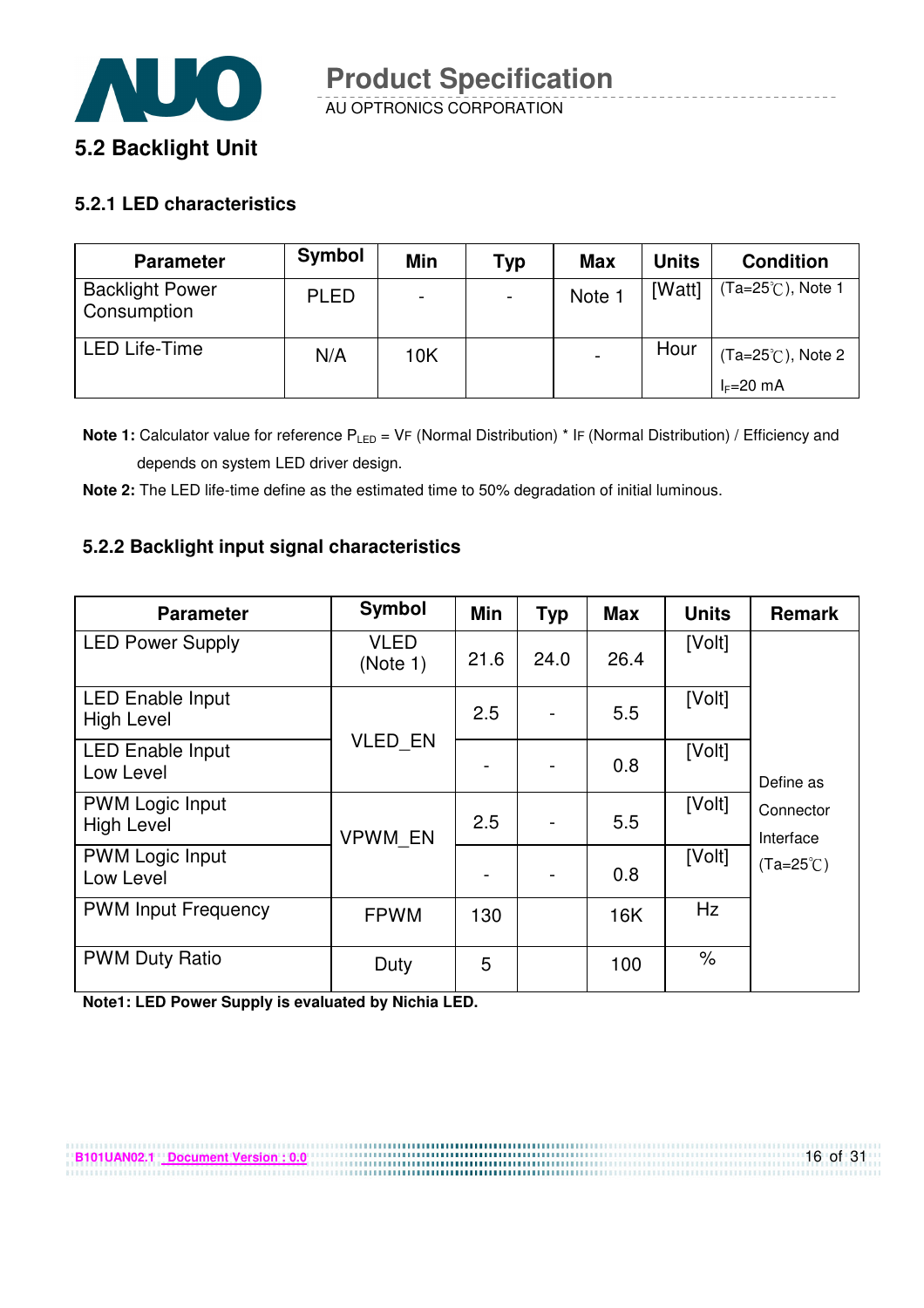

#### **5.2.1 LED characteristics**

| <b>Parameter</b>                      | Symbol      | Min | Typ | <b>Max</b> | <b>Units</b> | <b>Condition</b>            |
|---------------------------------------|-------------|-----|-----|------------|--------------|-----------------------------|
| <b>Backlight Power</b><br>Consumption | <b>PLED</b> |     |     | Note       | [Watt]       | Ta=25 $°C$ ), Note 1        |
| <b>LED Life-Time</b>                  | N/A         | 10K |     |            | Hour         | $(Ta=25^{\circ}C)$ , Note 2 |
|                                       |             |     |     |            |              | $I_F=20$ mA                 |

**Note 1:** Calculator value for reference P<sub>LED</sub> = VF (Normal Distribution) \* IF (Normal Distribution) / Efficiency and depends on system LED driver design.

**Note 2:** The LED life-time define as the estimated time to 50% degradation of initial luminous.

#### **5.2.2 Backlight input signal characteristics**

| <b>Parameter</b>                             | <b>Symbol</b>           | Min  | <b>Typ</b> | <b>Max</b> | <b>Units</b> | <b>Remark</b>          |
|----------------------------------------------|-------------------------|------|------------|------------|--------------|------------------------|
| <b>LED Power Supply</b>                      | <b>VLED</b><br>(Note 1) | 21.6 | 24.0       | 26.4       | [Volt]       |                        |
| <b>LED Enable Input</b><br><b>High Level</b> |                         | 2.5  |            | 5.5        | [Volt]       |                        |
| <b>LED Enable Input</b><br>Low Level         | <b>VLED EN</b>          |      |            | 0.8        | [Volt]       | Define as              |
| <b>PWM Logic Input</b><br><b>High Level</b>  | <b>VPWM EN</b>          | 2.5  |            | 5.5        | [Volt]       | Connector<br>Interface |
| <b>PWM Logic Input</b><br>Low Level          |                         |      |            | 0.8        | [Volt]       | $(Ta=25^{\circ}C)$     |
| <b>PWM Input Frequency</b>                   | <b>FPWM</b>             | 130  |            | 16K        | Hz           |                        |
| <b>PWM Duty Ratio</b>                        | Duty                    | 5    |            | 100        | $\%$         |                        |

**Note1: LED Power Supply is evaluated by Nichia LED.**

**B101UAN02.1 Document Version : 0.0**

16 of 31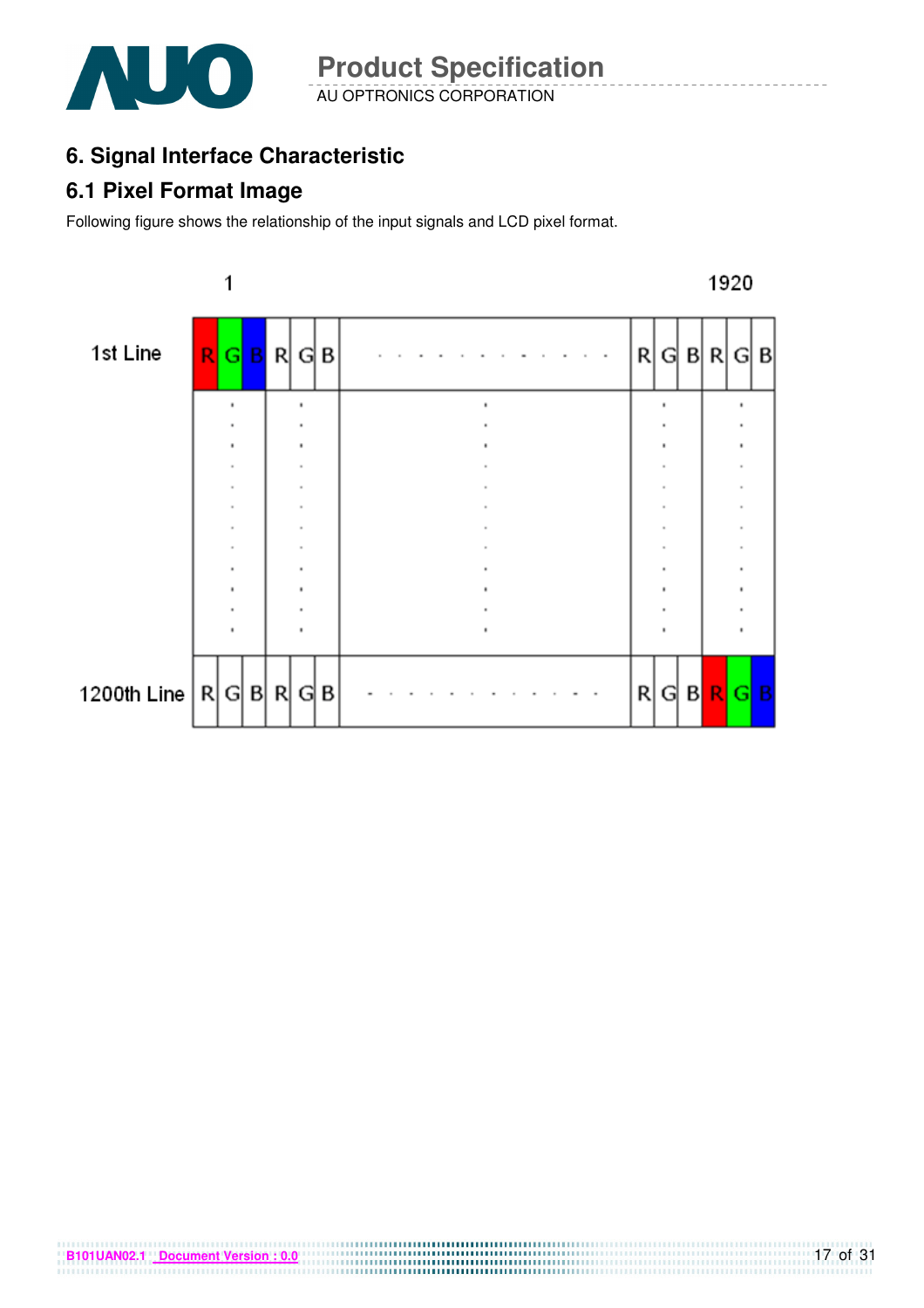

## **6. Signal Interface Characteristic**

### **6.1 Pixel Format Image**

Following figure shows the relationship of the input signals and LCD pixel format.



**B101UAN02.1 Document Version : 0.0**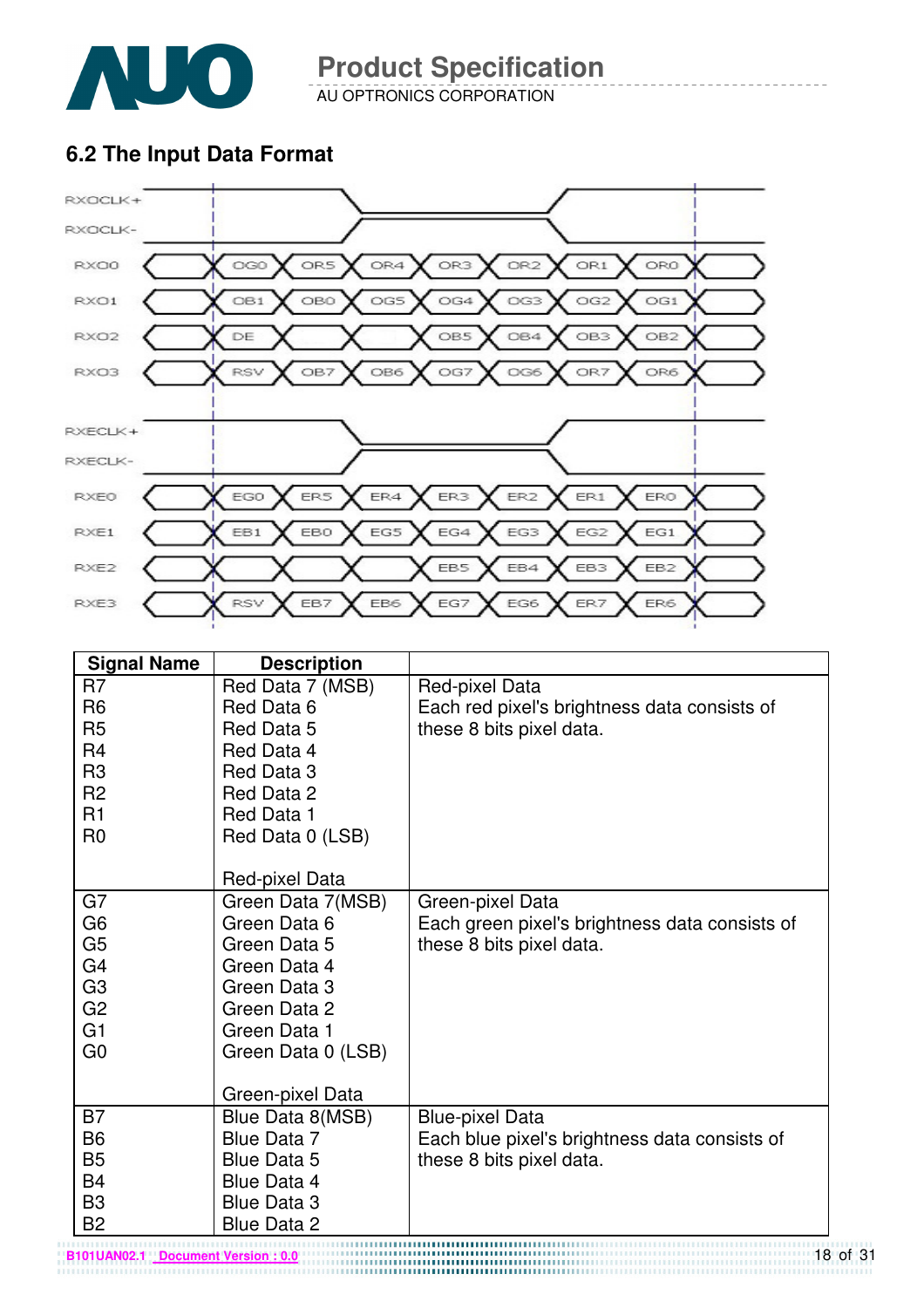

AU OPTRONICS CORPORATION

### **6.2 The Input Data Format**



| <b>Signal Name</b> | <b>Description</b> |                                                |
|--------------------|--------------------|------------------------------------------------|
| R7                 | Red Data 7 (MSB)   | Red-pixel Data                                 |
| R <sub>6</sub>     | Red Data 6         | Each red pixel's brightness data consists of   |
| R <sub>5</sub>     | Red Data 5         | these 8 bits pixel data.                       |
| R <sub>4</sub>     | Red Data 4         |                                                |
| R <sub>3</sub>     | Red Data 3         |                                                |
| R <sub>2</sub>     | Red Data 2         |                                                |
| R1                 | Red Data 1         |                                                |
| R <sub>0</sub>     | Red Data 0 (LSB)   |                                                |
|                    |                    |                                                |
|                    | Red-pixel Data     |                                                |
| G7                 | Green Data 7(MSB)  | Green-pixel Data                               |
| G <sub>6</sub>     | Green Data 6       | Each green pixel's brightness data consists of |
| G <sub>5</sub>     | Green Data 5       | these 8 bits pixel data.                       |
| G <sub>4</sub>     | Green Data 4       |                                                |
| G <sub>3</sub>     | Green Data 3       |                                                |
| G <sub>2</sub>     | Green Data 2       |                                                |
| G1                 | Green Data 1       |                                                |
| G <sub>0</sub>     | Green Data 0 (LSB) |                                                |
|                    |                    |                                                |
|                    | Green-pixel Data   |                                                |
| B <sub>7</sub>     | Blue Data 8(MSB)   | <b>Blue-pixel Data</b>                         |
| <b>B6</b>          | Blue Data 7        | Each blue pixel's brightness data consists of  |
| <b>B5</b>          | <b>Blue Data 5</b> | these 8 bits pixel data.                       |
| B4                 | Blue Data 4        |                                                |
| B <sub>3</sub>     | <b>Blue Data 3</b> |                                                |
| <b>B2</b>          | <b>Blue Data 2</b> |                                                |

18 of 31 **B101UAN02.1 Document Version : 0.0**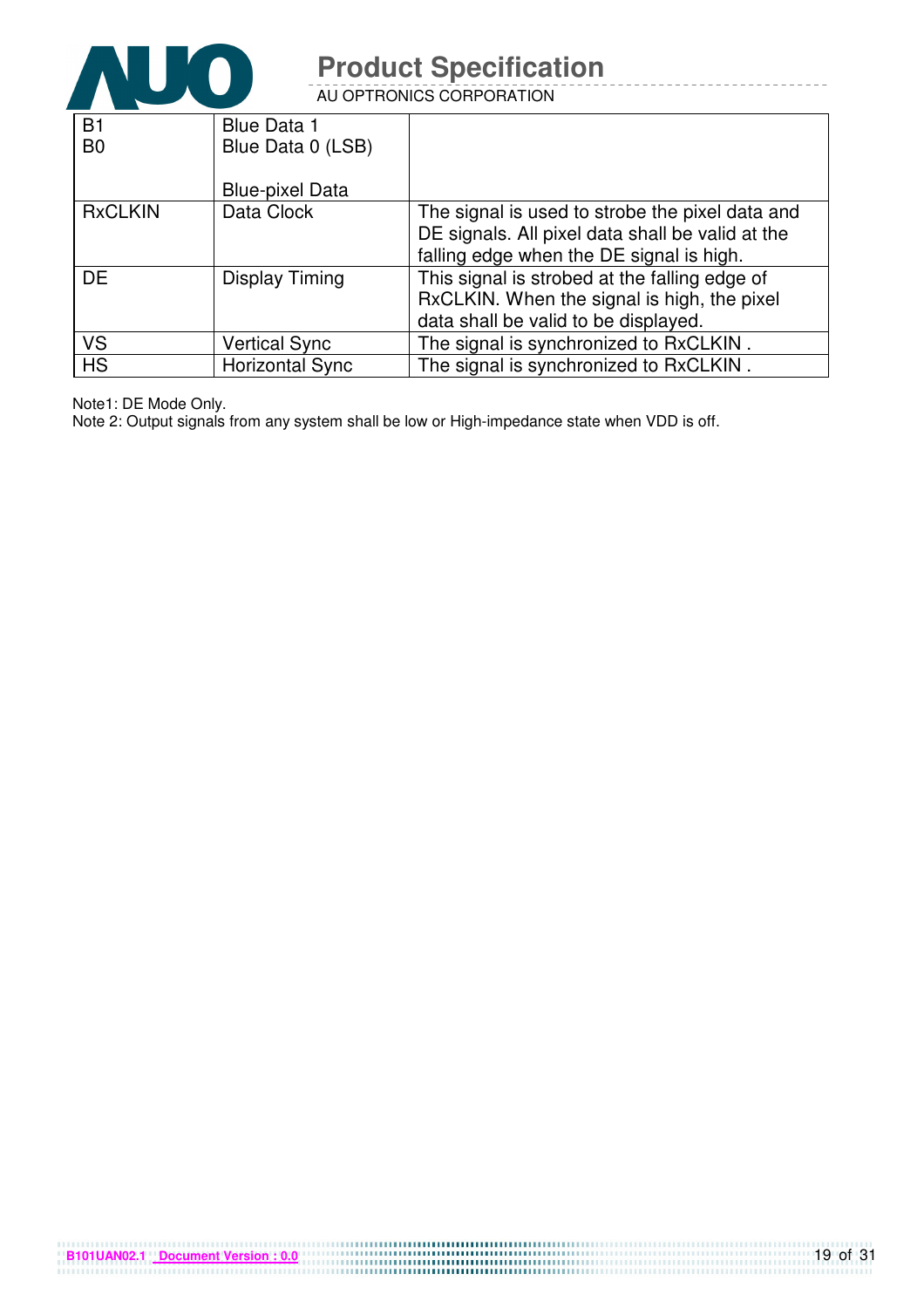

AU OPTRONICS CORPORATION

| <b>B1</b>      | <b>Blue Data 1</b>     |                                                  |
|----------------|------------------------|--------------------------------------------------|
| B <sub>0</sub> | Blue Data 0 (LSB)      |                                                  |
|                |                        |                                                  |
|                | <b>Blue-pixel Data</b> |                                                  |
| <b>RxCLKIN</b> | Data Clock             | The signal is used to strobe the pixel data and  |
|                |                        | DE signals. All pixel data shall be valid at the |
|                |                        | falling edge when the DE signal is high.         |
| <b>DE</b>      | Display Timing         | This signal is strobed at the falling edge of    |
|                |                        | RxCLKIN. When the signal is high, the pixel      |
|                |                        | data shall be valid to be displayed.             |
| <b>VS</b>      | <b>Vertical Sync</b>   | The signal is synchronized to RxCLKIN.           |
| <b>HS</b>      | <b>Horizontal Sync</b> | The signal is synchronized to RxCLKIN.           |

Note1: DE Mode Only.

Note 2: Output signals from any system shall be low or High-impedance state when VDD is off.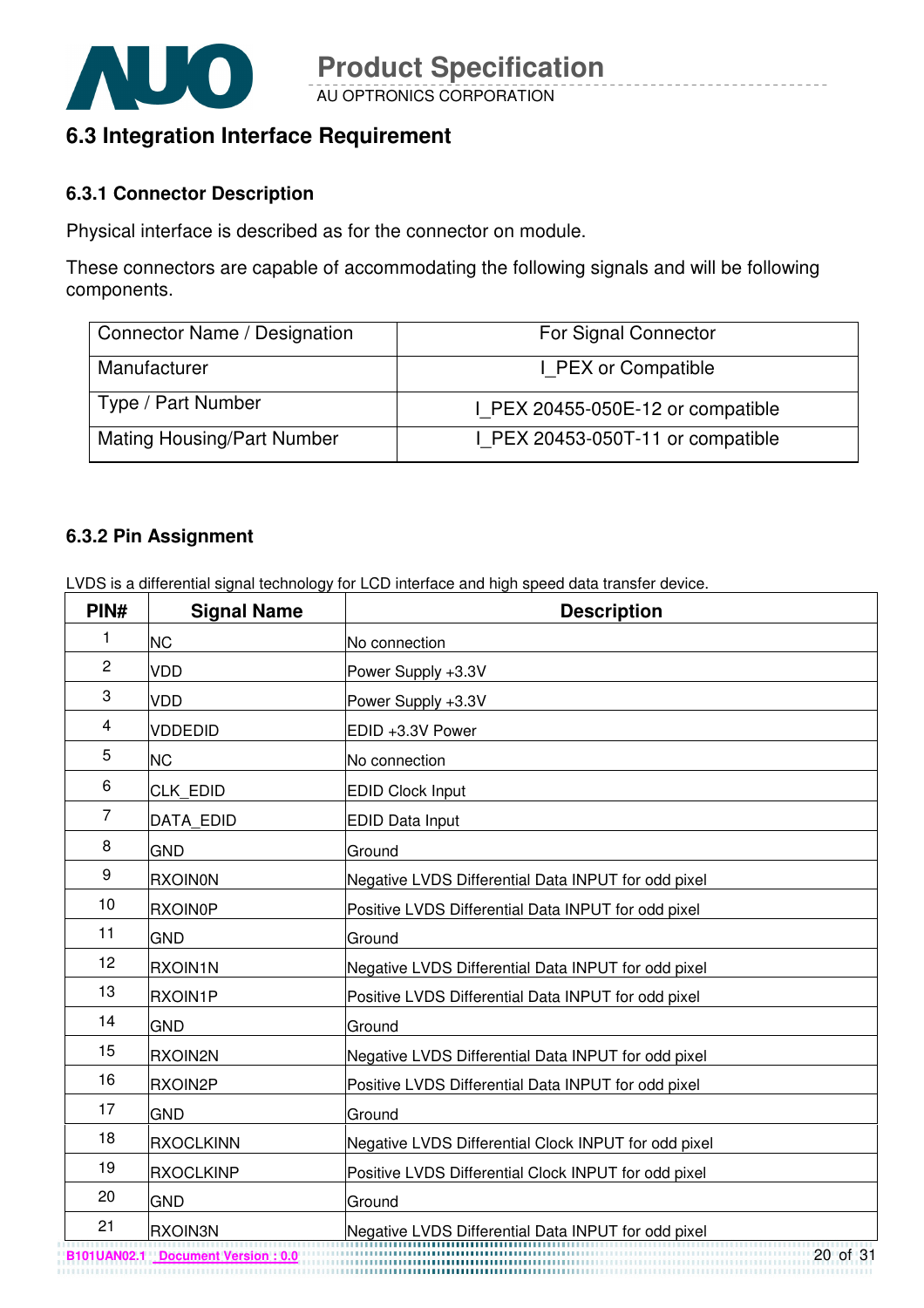

### **6.3 Integration Interface Requirement**

#### **6.3.1 Connector Description**

Physical interface is described as for the connector on module.

These connectors are capable of accommodating the following signals and will be following components.

| Connector Name / Designation      | For Signal Connector              |
|-----------------------------------|-----------------------------------|
| Manufacturer                      | I PEX or Compatible               |
| Type / Part Number                | I PEX 20455-050E-12 or compatible |
| <b>Mating Housing/Part Number</b> | I PEX 20453-050T-11 or compatible |

#### **6.3.2 Pin Assignment**

LVDS is a differential signal technology for LCD interface and high speed data transfer device.

| PIN#           | <b>Signal Name</b> | <b>Description</b>                                                                                         |
|----------------|--------------------|------------------------------------------------------------------------------------------------------------|
| 1              | <b>NC</b>          | No connection                                                                                              |
| $\overline{2}$ | <b>VDD</b>         | Power Supply +3.3V                                                                                         |
| 3              | <b>VDD</b>         | Power Supply +3.3V                                                                                         |
| 4              | <b>VDDEDID</b>     | EDID +3.3V Power                                                                                           |
| 5              | <b>NC</b>          | No connection                                                                                              |
| 6              | <b>CLK EDID</b>    | <b>EDID Clock Input</b>                                                                                    |
| $\overline{7}$ | <b>DATA EDID</b>   | <b>EDID Data Input</b>                                                                                     |
| 8              | <b>GND</b>         | Ground                                                                                                     |
| 9              | <b>RXOIN0N</b>     | Negative LVDS Differential Data INPUT for odd pixel                                                        |
| 10             | <b>RXOIN0P</b>     | Positive LVDS Differential Data INPUT for odd pixel                                                        |
| 11             | <b>GND</b>         | Ground                                                                                                     |
| 12             | <b>RXOIN1N</b>     | Negative LVDS Differential Data INPUT for odd pixel                                                        |
| 13             | RXOIN1P            | Positive LVDS Differential Data INPUT for odd pixel                                                        |
| 14             | <b>GND</b>         | Ground                                                                                                     |
| 15             | RXOIN2N            | Negative LVDS Differential Data INPUT for odd pixel                                                        |
| 16             | RXOIN2P            | Positive LVDS Differential Data INPUT for odd pixel                                                        |
| 17             | <b>GND</b>         | Ground                                                                                                     |
| 18             | <b>RXOCLKINN</b>   | Negative LVDS Differential Clock INPUT for odd pixel                                                       |
| 19             | <b>RXOCLKINP</b>   | Positive LVDS Differential Clock INPUT for odd pixel                                                       |
| 20             | <b>GND</b>         | Ground                                                                                                     |
| 21             | RXOIN3N            | Negative LVDS Differential Data INPUT for odd pixel<br>Megative LVDS Differential Data INPUT for odd pixel |

**B101UAN02.1 Document Version : 0.0**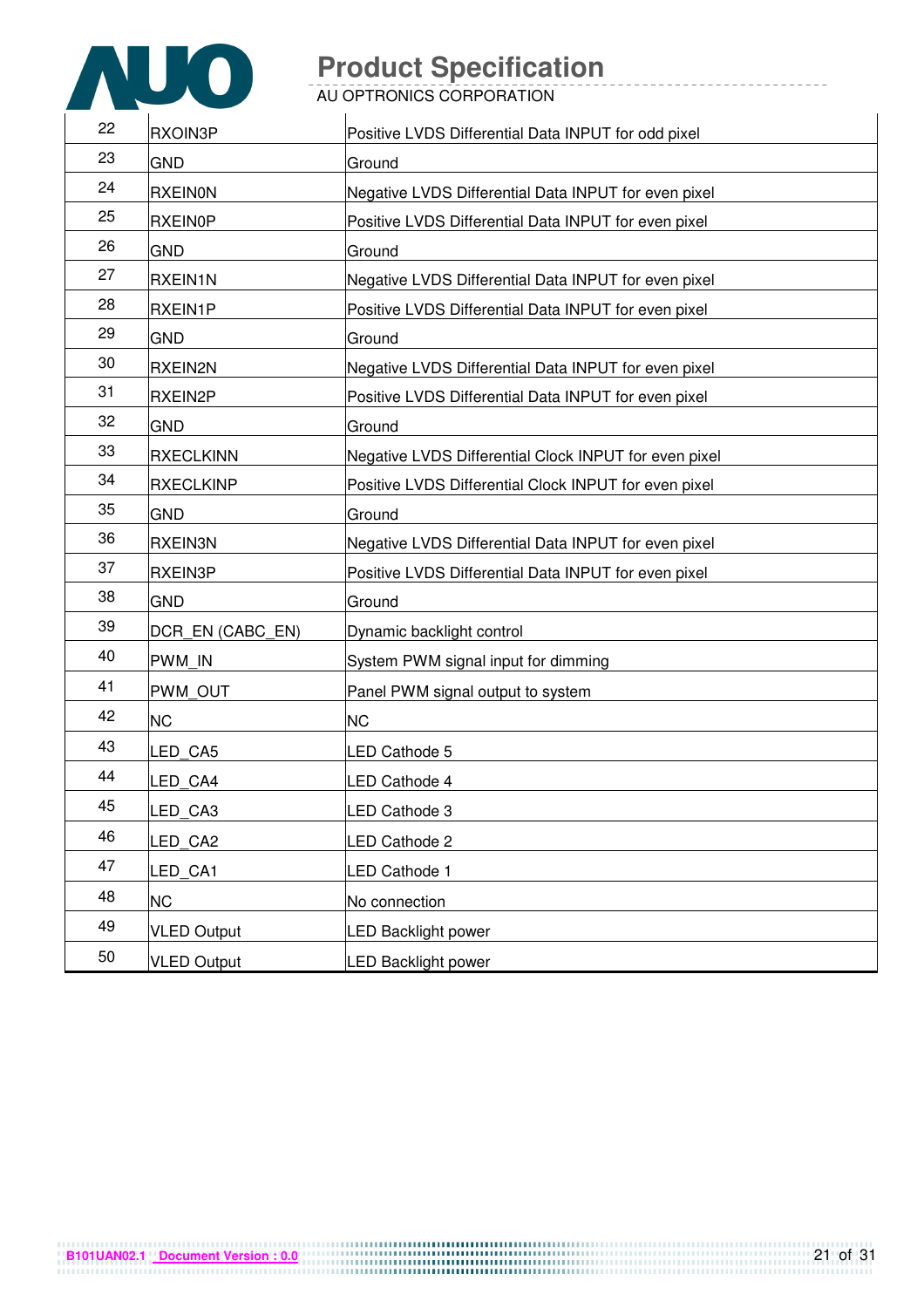

AU OPTRONICS CORPORATION

| 22 | RXOIN3P            | Positive LVDS Differential Data INPUT for odd pixel   |
|----|--------------------|-------------------------------------------------------|
| 23 | <b>GND</b>         | Ground                                                |
| 24 | <b>RXEINON</b>     | Negative LVDS Differential Data INPUT for even pixel  |
| 25 | <b>RXEIN0P</b>     | Positive LVDS Differential Data INPUT for even pixel  |
| 26 | <b>GND</b>         | Ground                                                |
| 27 | <b>RXEIN1N</b>     | Negative LVDS Differential Data INPUT for even pixel  |
| 28 | RXEIN1P            | Positive LVDS Differential Data INPUT for even pixel  |
| 29 | <b>GND</b>         | Ground                                                |
| 30 | <b>RXEIN2N</b>     | Negative LVDS Differential Data INPUT for even pixel  |
| 31 | RXEIN2P            | Positive LVDS Differential Data INPUT for even pixel  |
| 32 | <b>GND</b>         | Ground                                                |
| 33 | <b>RXECLKINN</b>   | Negative LVDS Differential Clock INPUT for even pixel |
| 34 | <b>RXECLKINP</b>   | Positive LVDS Differential Clock INPUT for even pixel |
| 35 | <b>GND</b>         | Ground                                                |
| 36 | <b>RXEIN3N</b>     | Negative LVDS Differential Data INPUT for even pixel  |
| 37 | <b>RXEIN3P</b>     | Positive LVDS Differential Data INPUT for even pixel  |
| 38 | <b>GND</b>         | Ground                                                |
| 39 | DCR_EN (CABC_EN)   | Dynamic backlight control                             |
| 40 | <b>PWM IN</b>      | System PWM signal input for dimming                   |
| 41 | PWM OUT            | Panel PWM signal output to system                     |
| 42 | <b>NC</b>          | <b>NC</b>                                             |
| 43 | LED CA5            | LED Cathode 5                                         |
| 44 | LED CA4            | LED Cathode 4                                         |
| 45 | LED_CA3            | LED Cathode 3                                         |
| 46 | LED_CA2            | LED Cathode 2                                         |
| 47 | LED CA1            | <b>LED Cathode 1</b>                                  |
| 48 | <b>NC</b>          | No connection                                         |
| 49 | <b>VLED Output</b> | <b>LED Backlight power</b>                            |
| 50 | <b>VLED Output</b> | <b>LED Backlight power</b>                            |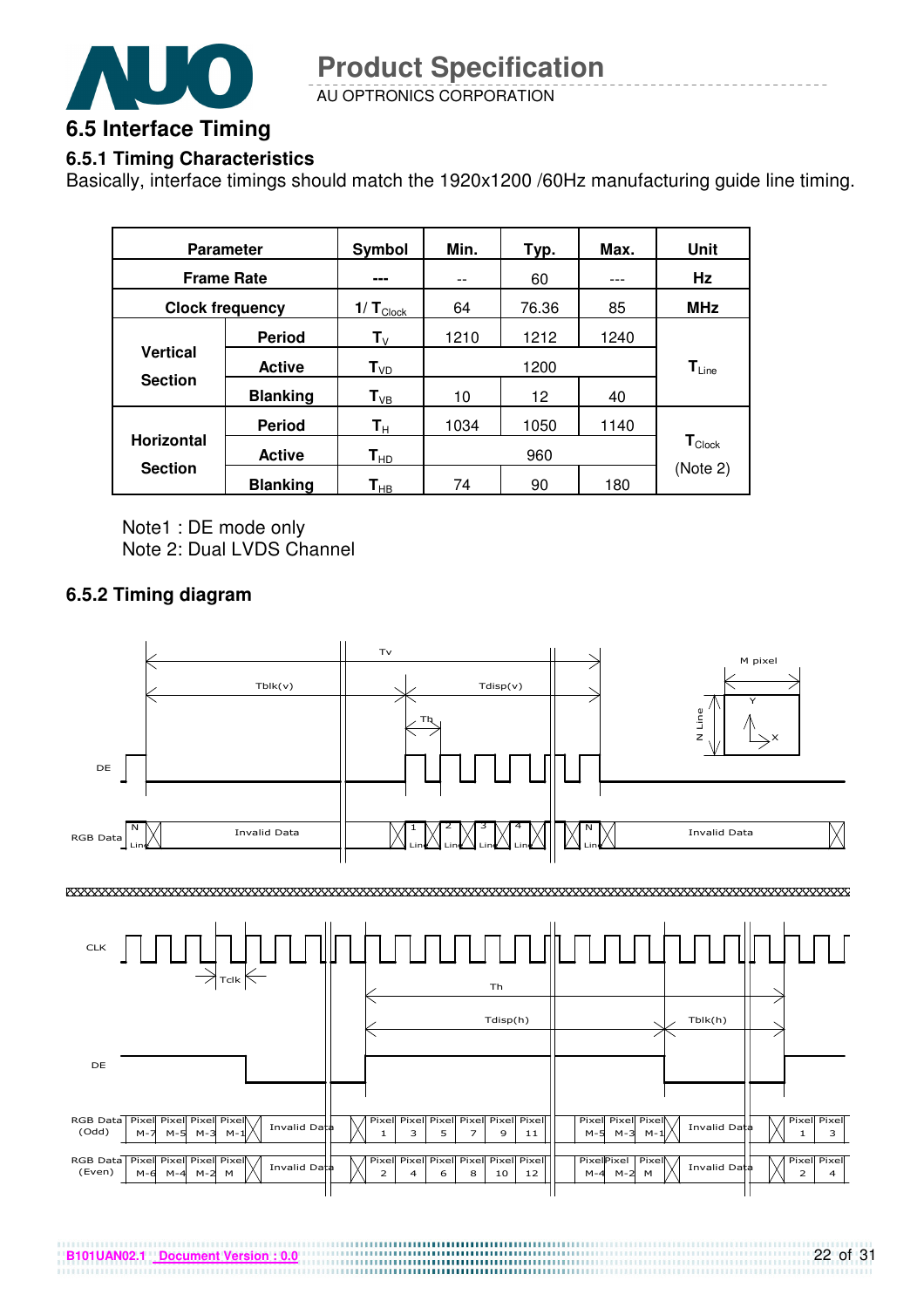

#### **6.5.1 Timing Characteristics**

Basically, interface timings should match the 1920x1200 /60Hz manufacturing guide line timing.

| <b>Parameter</b>                    |                 | Symbol                     | Min.  | Typ.  | Max. | Unit                          |  |
|-------------------------------------|-----------------|----------------------------|-------|-------|------|-------------------------------|--|
| <b>Frame Rate</b>                   |                 | ---                        | $- -$ | 60    | ---  | Hz                            |  |
| <b>Clock frequency</b>              |                 | 1/ $T_{\text{Clock}}$      | 64    | 76.36 | 85   | <b>MHz</b>                    |  |
|                                     | <b>Period</b>   | $\mathsf{T}_{\mathsf{V}}$  | 1210  | 1212  | 1240 |                               |  |
| <b>Vertical</b>                     | <b>Active</b>   | $T_{VD}$                   |       | 1200  |      | $\mathsf{T}_{\mathsf{Line}}$  |  |
| <b>Section</b>                      | <b>Blanking</b> | $T_{VB}$                   | 10    | 12    | 40   |                               |  |
|                                     | <b>Period</b>   | $\mathsf{T}_\mathsf{H}$    | 1034  | 1050  | 1140 |                               |  |
| <b>Horizontal</b><br><b>Section</b> | <b>Active</b>   | $T_{HD}$                   |       | 960   |      | $\mathsf{T}_{\mathsf{Clock}}$ |  |
|                                     | <b>Blanking</b> | $\mathsf{T}_{\mathsf{HB}}$ | 74    | 90    | 180  | (Note 2)                      |  |

Note1 : DE mode only Note 2: Dual LVDS Channel

#### **6.5.2 Timing diagram**



**B101UAN02.1 Document Version : 0.0**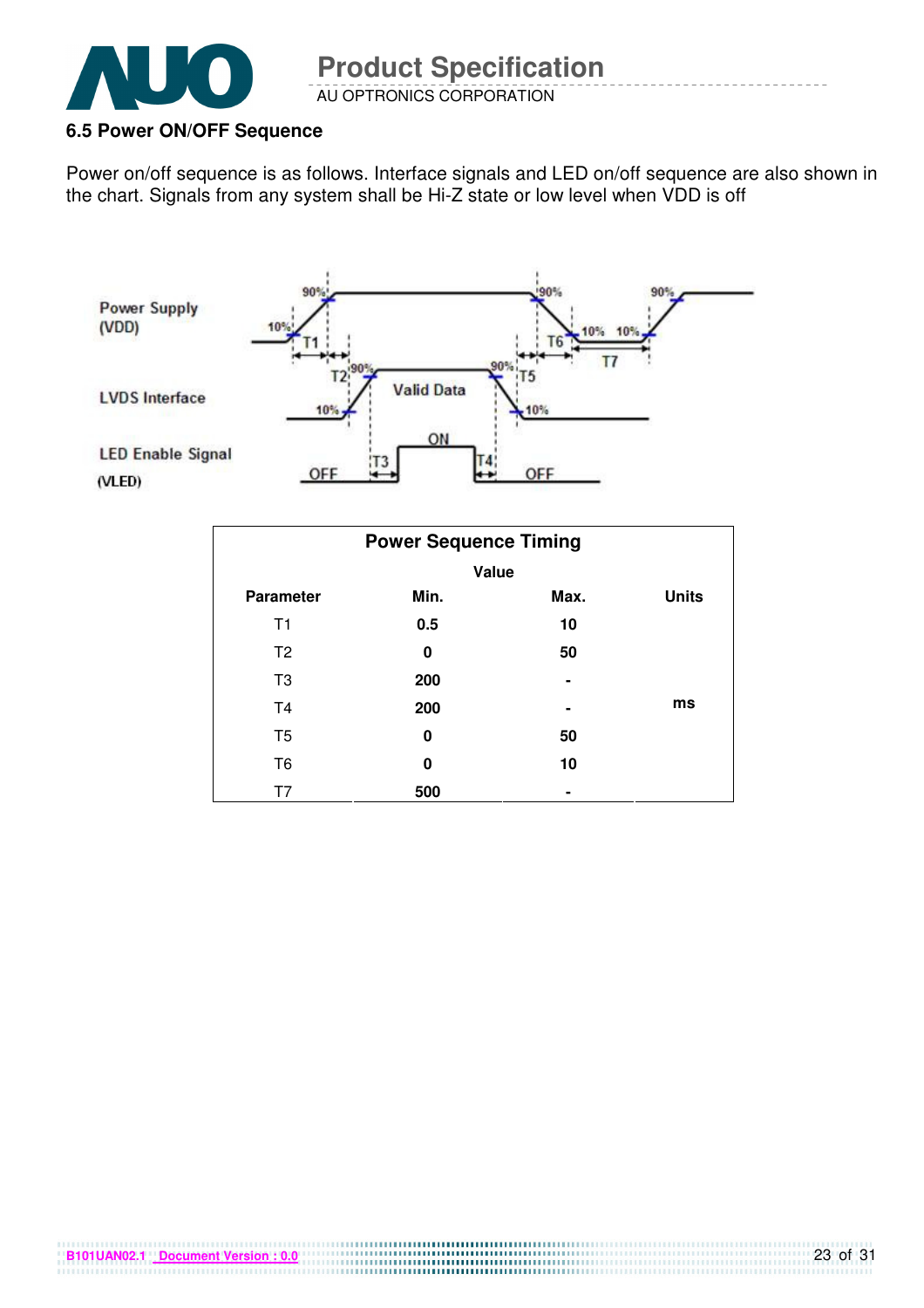

#### **6.5 Power ON/OFF Sequence**

Power on/off sequence is as follows. Interface signals and LED on/off sequence are also shown in the chart. Signals from any system shall be Hi-Z state or low level when VDD is off



| <b>Power Sequence Timing</b> |       |                |              |  |  |  |  |
|------------------------------|-------|----------------|--------------|--|--|--|--|
|                              | Value |                |              |  |  |  |  |
| <b>Parameter</b>             | Min.  | Max.           | <b>Units</b> |  |  |  |  |
| T <sub>1</sub>               | 0.5   | 10             |              |  |  |  |  |
| T <sub>2</sub>               | 0     | 50             |              |  |  |  |  |
| T <sub>3</sub>               | 200   |                |              |  |  |  |  |
| T <sub>4</sub>               | 200   |                | ms           |  |  |  |  |
| T <sub>5</sub>               | 0     | 50             |              |  |  |  |  |
| T <sub>6</sub>               | 0     | 10             |              |  |  |  |  |
| T7                           | 500   | $\blacksquare$ |              |  |  |  |  |

**B101UAN02.1 Document Version : 0.0**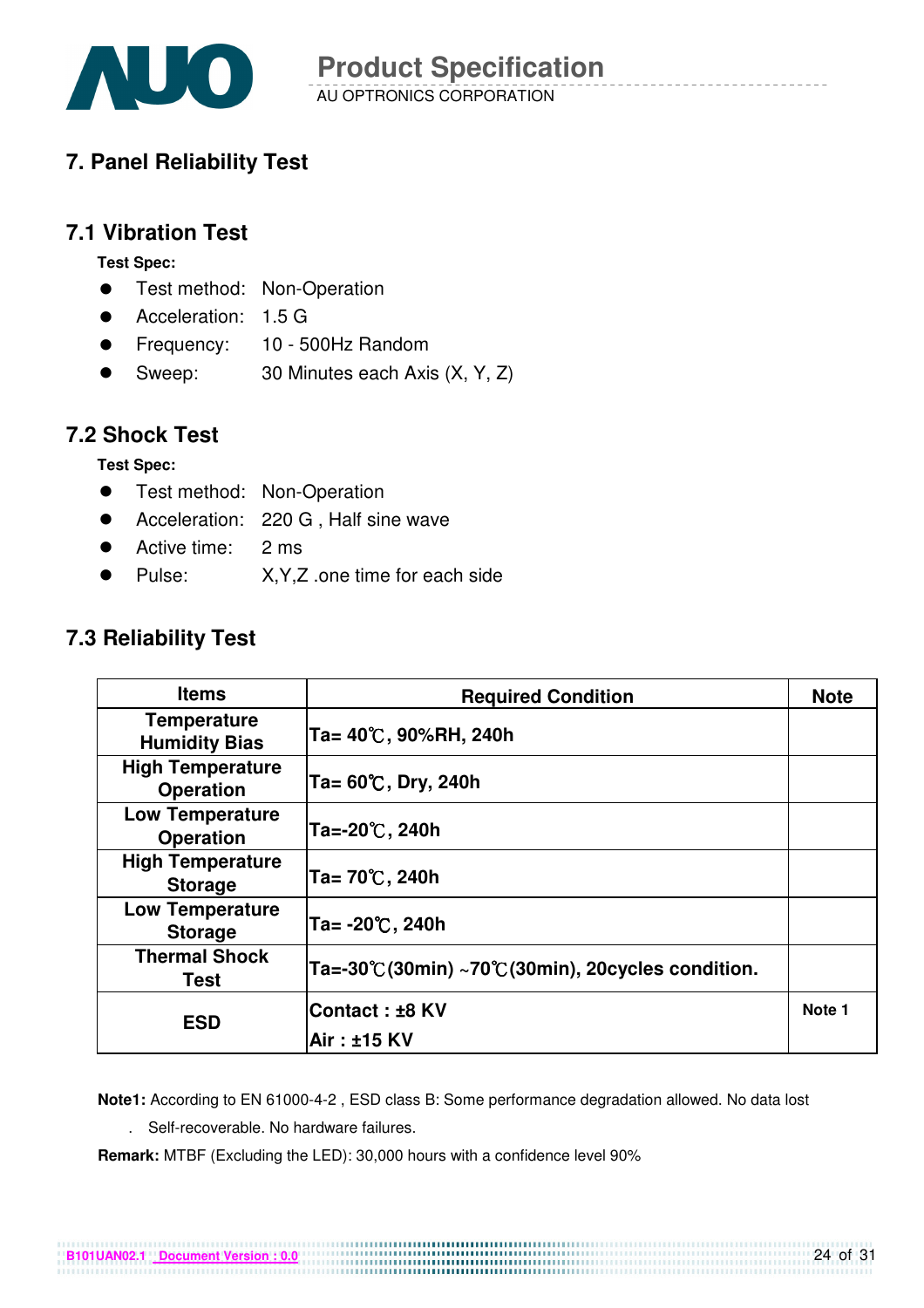

## **7. Panel Reliability Test**

### **7.1 Vibration Test**

**Test Spec:** 

- **•** Test method: Non-Operation
- Acceleration: 1.5 G
- Frequency: 10 500Hz Random
- Sweep: 30 Minutes each Axis (X, Y, Z)

### **7.2 Shock Test**

**Test Spec:** 

- **•** Test method: Non-Operation
- Acceleration: 220 G, Half sine wave
- Active time: 2 ms
- Pulse: X,Y,Z .one time for each side

### **7.3 Reliability Test**

| <b>Items</b>                                | <b>Required Condition</b>                         | <b>Note</b> |
|---------------------------------------------|---------------------------------------------------|-------------|
| <b>Temperature</b><br><b>Humidity Bias</b>  | Ta= 40℃, 90%RH, 240h                              |             |
| <b>High Temperature</b><br><b>Operation</b> | Ta= $60^{\circ}$ C, Dry, 240h                     |             |
| <b>Low Temperature</b><br><b>Operation</b>  | Ta=-20℃, 240h                                     |             |
| <b>High Temperature</b><br><b>Storage</b>   | Ta= 70℃, 240h                                     |             |
| <b>Low Temperature</b><br><b>Storage</b>    | Ta= $-20^{\circ}$ C, 240h                         |             |
| <b>Thermal Shock</b><br>Test                | Ta=-30°C(30min) ~70°C(30min), 20cycles condition. |             |
| <b>ESD</b>                                  | Contact: ±8 KV<br>Air : ±15 KV                    | Note 1      |

**Note1:** According to EN 61000-4-2 , ESD class B: Some performance degradation allowed. No data lost

. Self-recoverable. No hardware failures.

**Remark:** MTBF (Excluding the LED): 30,000 hours with a confidence level 90%

**B101UAN02.1 Document Version : 0.0**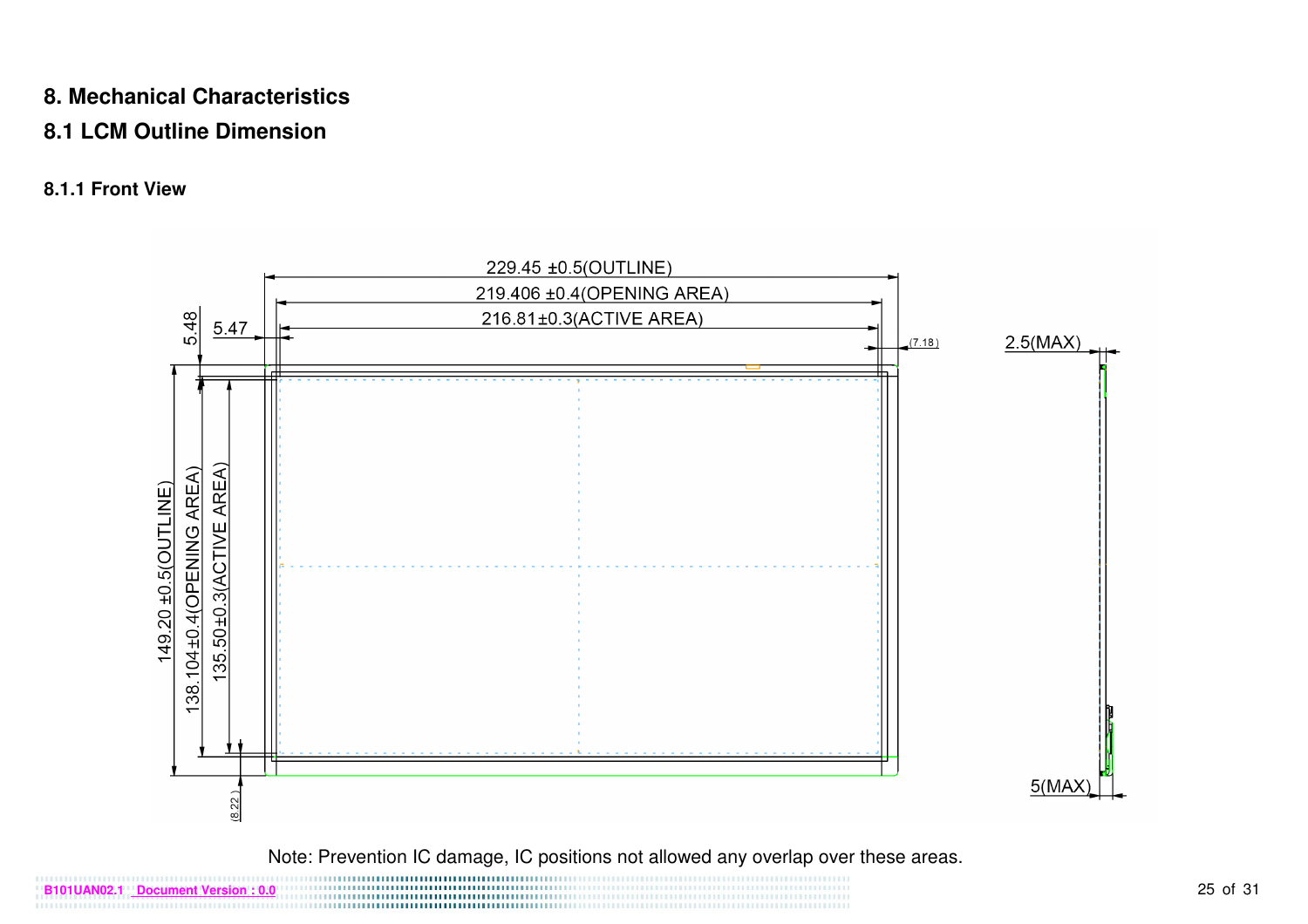### **8. Mechanical Characteristics**

### **8.1 LCM Outline Dimension**

### **8.1.1 Front View**



Note: Prevention IC damage, IC positions not allowed any overlap over these areas.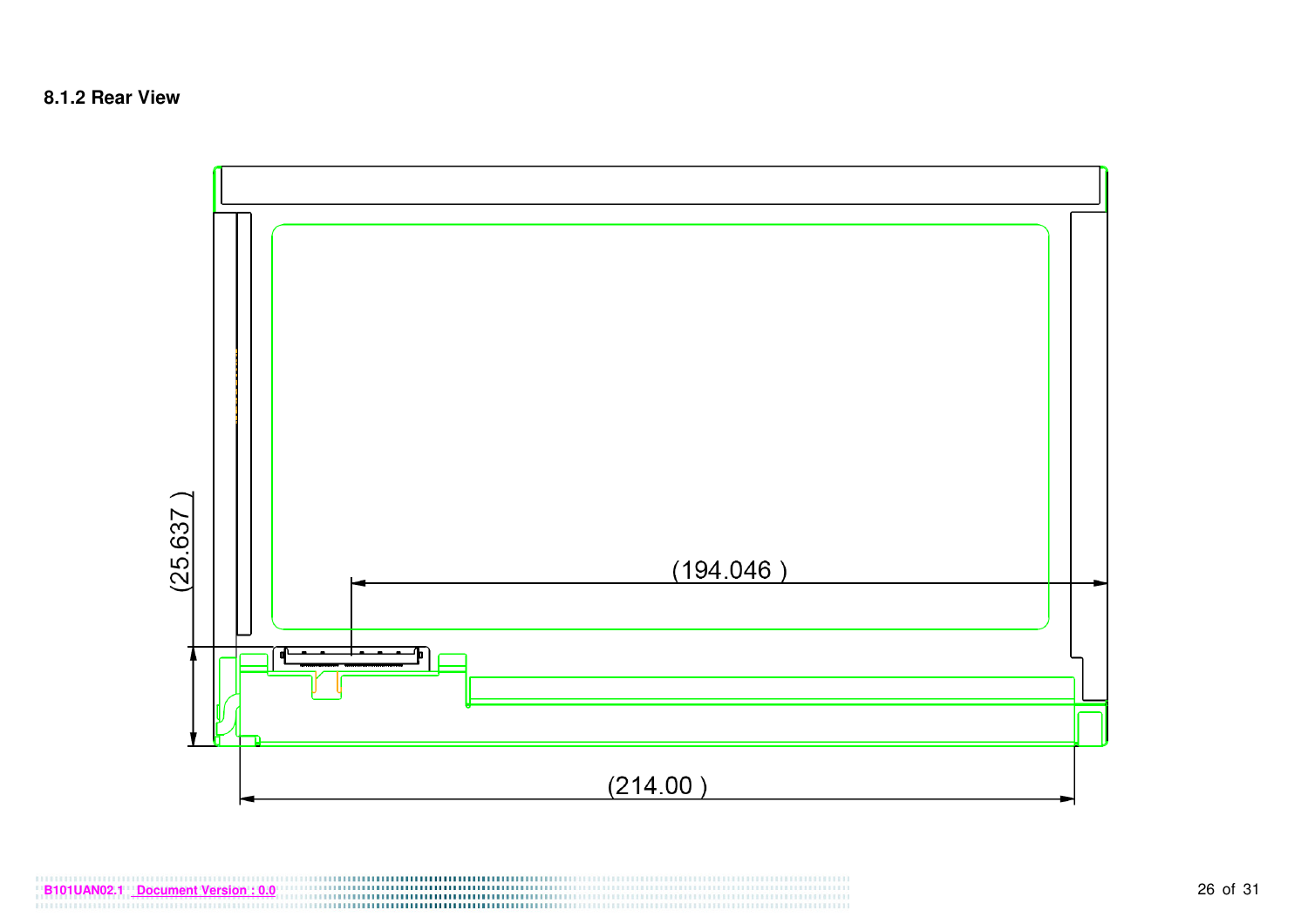

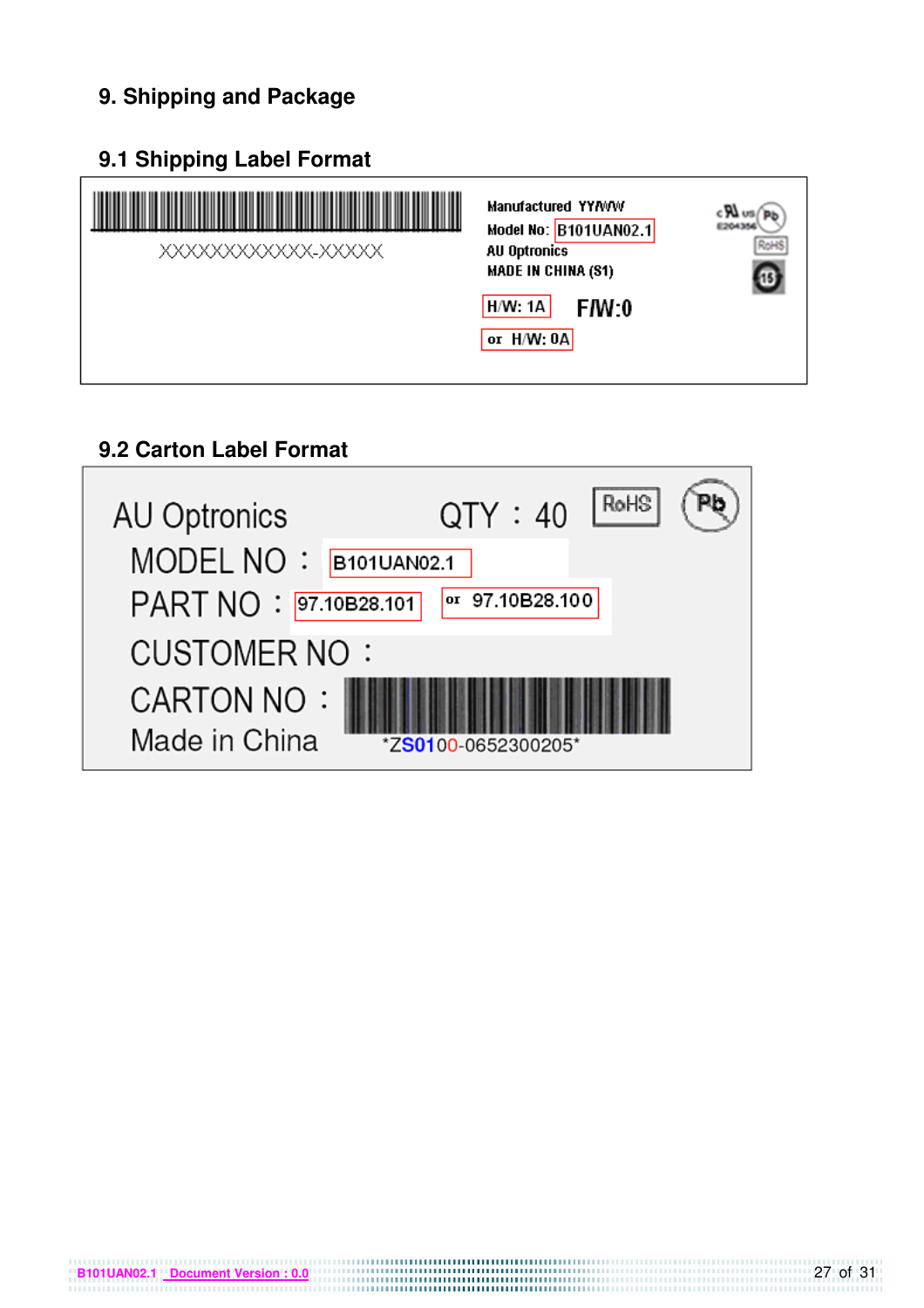## **9. Shipping and Package**

### **9.1 Shipping Label Format**



## **9.2 Carton Label Format**

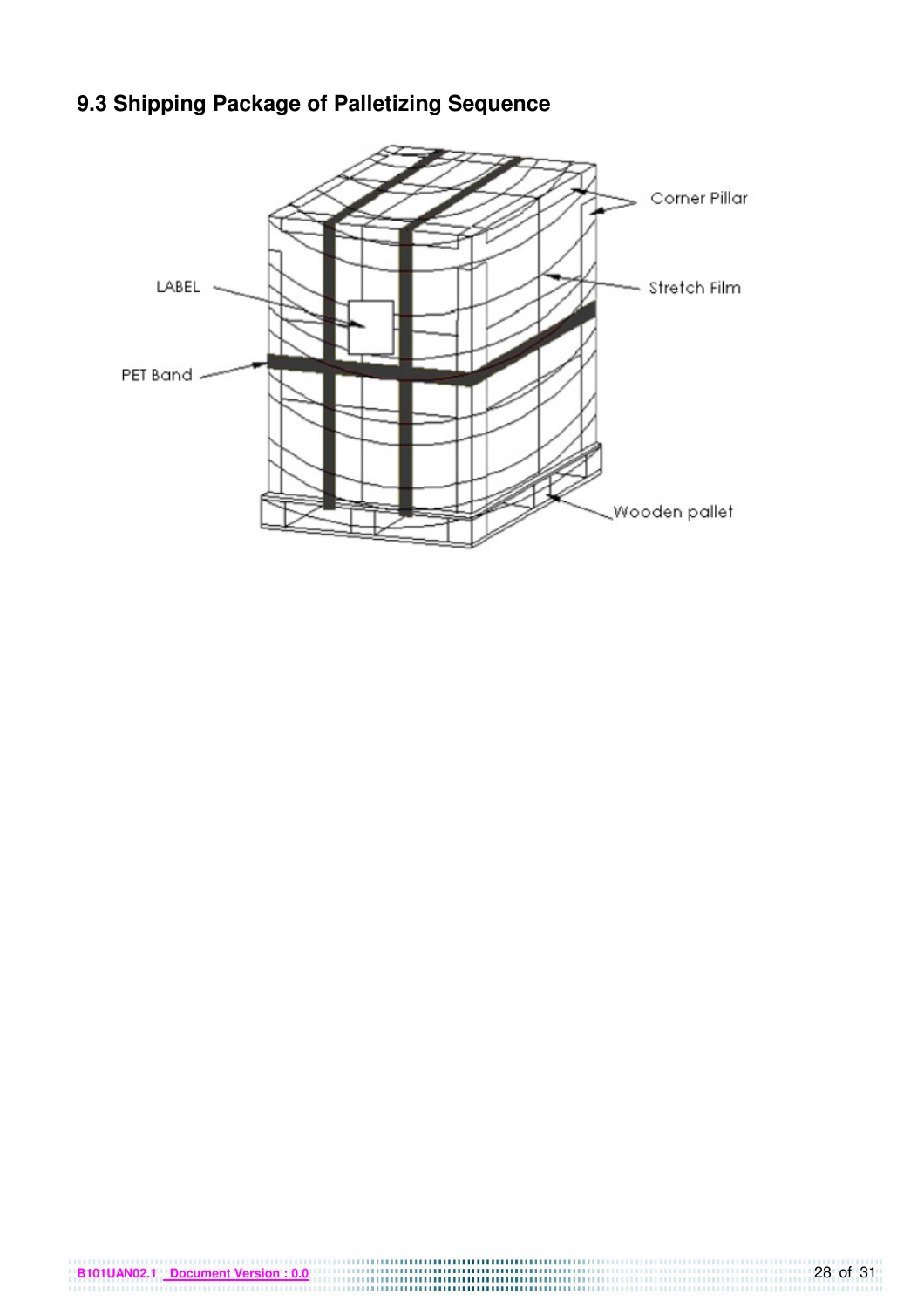## **9.3 Shipping Package of Palletizing Sequence**

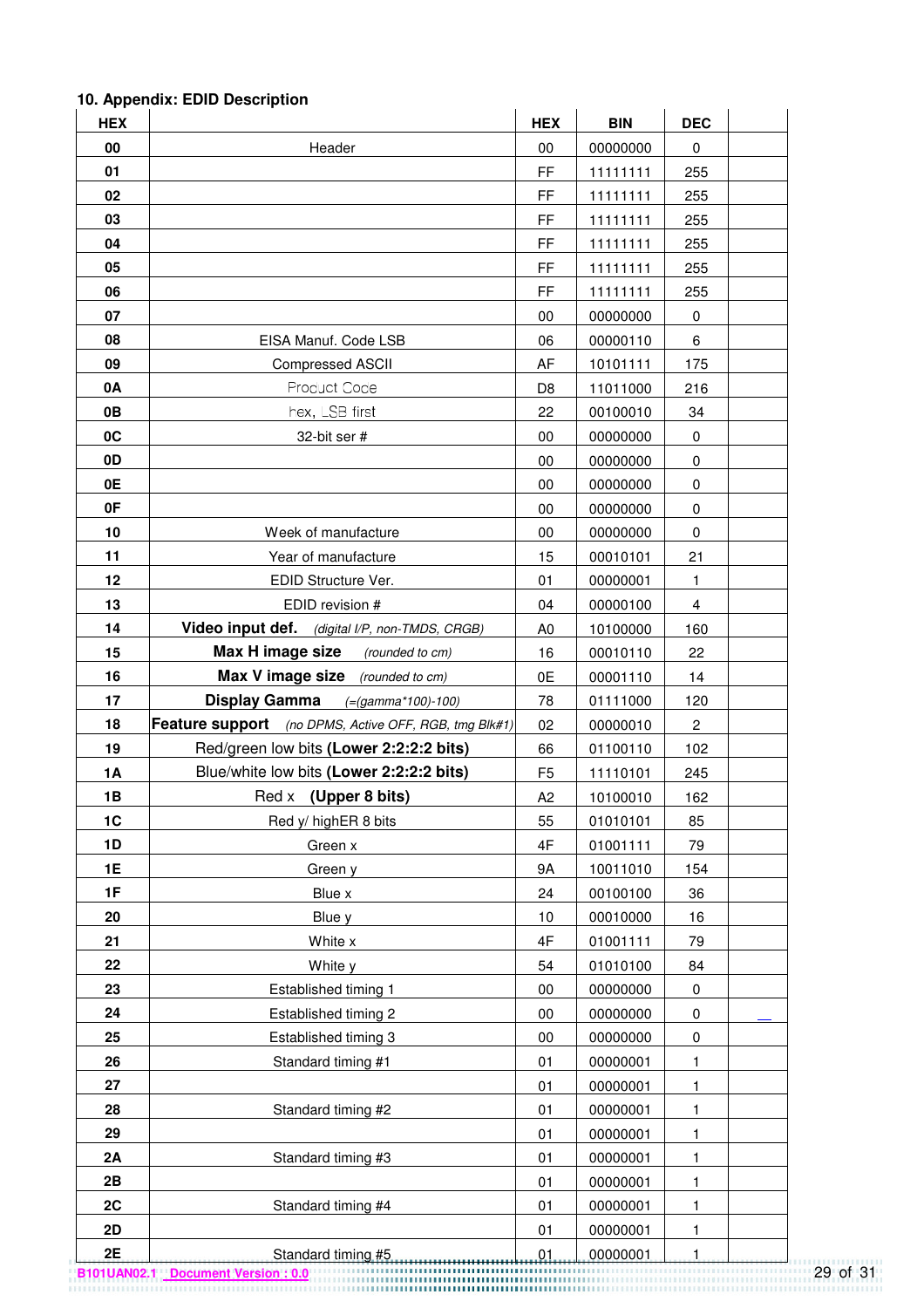#### HEX BIN DEC **HEX BIN DEC 00** Header 00 00000000 0 **01 FF** 11111111 255 **02 FF** 11111111 255 **03** FF 11111111 255 **04** FF 11111111 255 **05** FF 11111111 255 **06** FF 11111111 255 **07** 00 00000000 0 **08 EISA Manuf. Code LSB 106 100000110 16 09 Compressed ASCII AF** 10101111 175 **0A D8 11011000** 216 **0B bex, LSB first 22 00100010 34 0C** 32-bit ser # 00 00000000 0 **0D** 00 00000000 0 **0E** 00 00000000 0 **0F** 00 00000000 0 **10 Week of manufacture 00 00000000 0000000** 0 **11 11 Year of manufacture** 15 00010101 21 **12 EDID Structure Ver. 101 00000001 1 13 EDID revision #** 04 00000100 4 **14 Video input def.** *(digital VP, non-TMDS, CRGB)* | A0 | 10100000 | 160 **15 Max H image size** (rounded to cm) 16 00010110 22 **16 Max V image size** (rounded to cm) **0E** 00001110 14 **17 Display Gamma** (=(gamma\*100)-100) 78 01111000 120 **18 Feature support** (no DPMS, Active OFF, RGB, tmg Blk#1) 02 00000010 2 **19 Red/green low bits (Lower 2:2:2:2 bits)** 66 01100110 102 **1A Blue/white low bits (Lower 2:2:2:2 bits)** F5 11110101 245 **1B Red x (Upper 8 bits) A2 A2 10100010 162 1C** Red y/ highER 8 bits 155 01010101 85 **1D** | Green x Green x | 4F | 01001111 | 79 **1E Green y** Green y **9A** 10011010 154 **1F** | 24 00100100 | 36 **20** Blue y 10 00010000 16 **21** White x 4F 01001111 79 **22 White y 54 01010100** 84 **23 Established timing 1** 00 00000000 0 **24 Established timing 2** 00 00000000 0 **25 Established timing 3** 00 00000000 0000000 0 **26 Standard timing #1** 01 00000001 1 **27 1** 01 **00000001** 1 **28 Standard timing #2** 01 00000001 1 **29** 01 00000001 1 **2A** | Standard timing #3 | 01 | 00000001 | 1 **2B** 01 00000001 1 **2C** | Standard timing #4 | 01 | 00000001 | 1 **2D** 01 00000001 1 **2E** Standard timing #5 **1** 01 000000001 1

#### **10. Appendix: EDID Description**

**B101UAN02.1 Document Version : 0.0** 29 of 31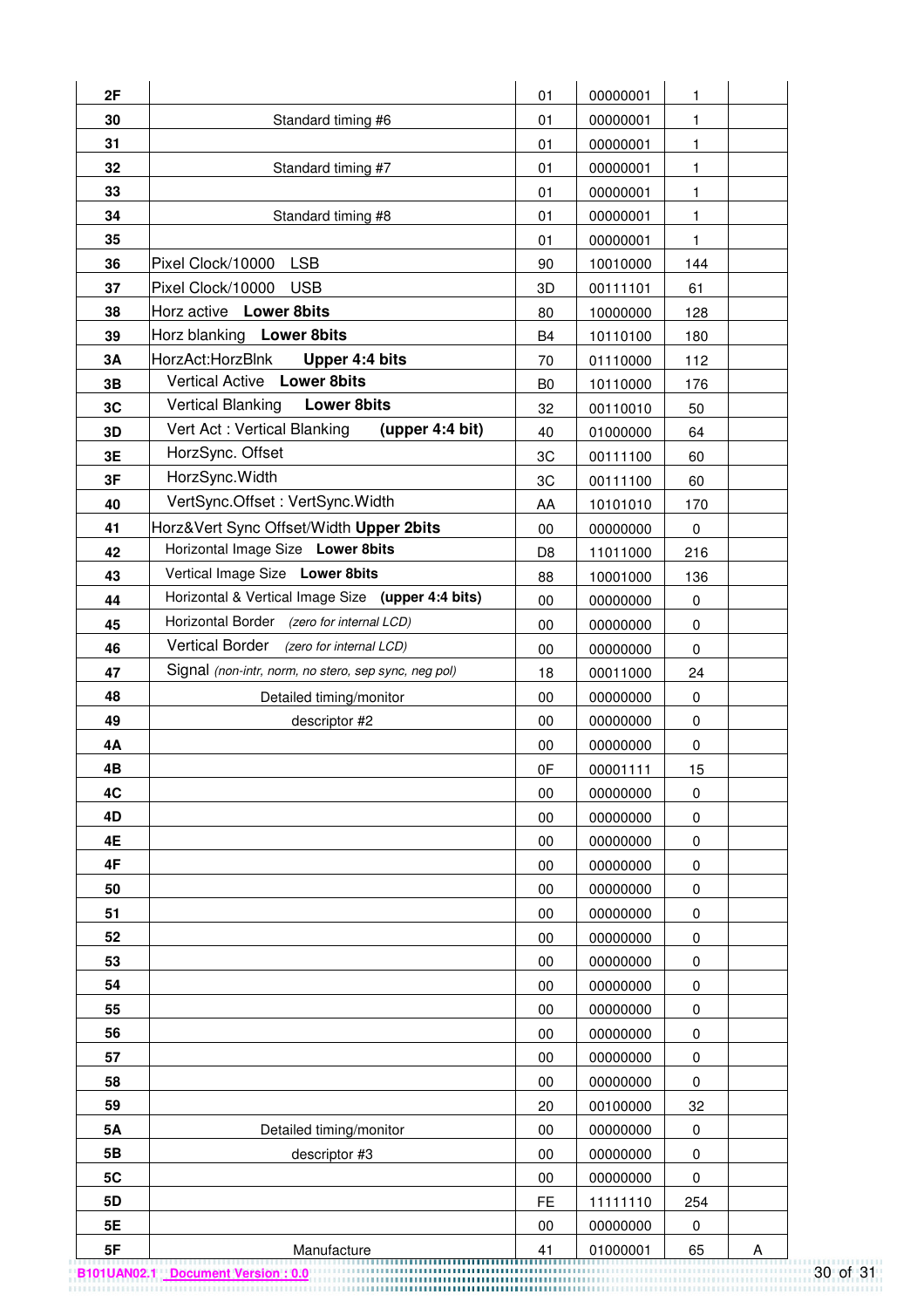| 2F |                                                      | 01             | 00000001 | 1         |   |
|----|------------------------------------------------------|----------------|----------|-----------|---|
| 30 | Standard timing #6                                   | 01             | 00000001 | 1.        |   |
| 31 |                                                      | 01             | 00000001 | 1         |   |
| 32 | Standard timing #7                                   | 01             | 00000001 | 1         |   |
| 33 |                                                      | 01             | 00000001 | 1         |   |
| 34 | Standard timing #8                                   | 01             | 00000001 | 1         |   |
| 35 |                                                      | 01             | 00000001 | 1         |   |
| 36 | <b>LSB</b><br>Pixel Clock/10000                      | 90             | 10010000 | 144       |   |
| 37 | Pixel Clock/10000<br><b>USB</b>                      | 3D             | 00111101 | 61        |   |
| 38 | Horz active Lower 8bits                              | 80             | 10000000 | 128       |   |
| 39 | Horz blanking Lower 8bits                            | <b>B4</b>      | 10110100 | 180       |   |
| 3A | HorzAct:HorzBlnk<br>Upper 4:4 bits                   | 70             | 01110000 | 112       |   |
| 3B | Vertical Active Lower 8bits                          | B <sub>0</sub> | 10110000 | 176       |   |
| 3C | <b>Vertical Blanking</b><br><b>Lower 8bits</b>       | 32             | 00110010 | 50        |   |
| 3D | Vert Act: Vertical Blanking<br>(upper 4:4 bit)       | 40             | 01000000 | 64        |   |
| 3E | HorzSync. Offset                                     | 3C             | 00111100 | 60        |   |
| 3F | HorzSync.Width                                       | 3C             | 00111100 | 60        |   |
| 40 | VertSync.Offset: VertSync.Width                      | AA             | 10101010 | 170       |   |
| 41 | Horz‖ Sync Offset/Width Upper 2bits                  | 00             | 00000000 | 0         |   |
| 42 | Horizontal Image Size Lower 8bits                    | D <sub>8</sub> | 11011000 | 216       |   |
| 43 | Vertical Image Size Lower 8bits                      | 88             | 10001000 | 136       |   |
| 44 | Horizontal & Vertical Image Size (upper 4:4 bits)    | 00             | 00000000 | 0         |   |
| 45 | Horizontal Border (zero for internal LCD)            | 00             | 00000000 | 0         |   |
| 46 | Vertical Border (zero for internal LCD)              | 00             | 00000000 | $\pmb{0}$ |   |
| 47 | Signal (non-intr, norm, no stero, sep sync, neg pol) | 18             | 00011000 | 24        |   |
| 48 | Detailed timing/monitor                              | 00             | 00000000 | $\pmb{0}$ |   |
| 49 | descriptor #2                                        | 00             | 00000000 | $\pmb{0}$ |   |
| 4Α |                                                      | 00             | 00000000 | 0         |   |
| 4B |                                                      | 0F             | 00001111 | 15        |   |
| 4C |                                                      | 00             | 00000000 | 0         |   |
| 4D |                                                      | $00\,$         | 00000000 | $\pmb{0}$ |   |
| 4E |                                                      | 00             | 00000000 | $\pmb{0}$ |   |
| 4F |                                                      | 00             | 00000000 | 0         |   |
| 50 |                                                      | 00             | 00000000 | 0         |   |
| 51 |                                                      | 00             | 00000000 | 0         |   |
| 52 |                                                      | $00\,$         | 00000000 | 0         |   |
| 53 |                                                      | 00             | 00000000 | 0         |   |
| 54 |                                                      | $00\,$         | 00000000 | 0         |   |
| 55 |                                                      | 00             | 00000000 | $\pmb{0}$ |   |
| 56 |                                                      | $00\,$         | 00000000 | 0         |   |
| 57 |                                                      | 00             | 00000000 | $\pmb{0}$ |   |
| 58 |                                                      | $00\,$         | 00000000 | 0         |   |
| 59 |                                                      | 20             | 00100000 | 32        |   |
| 5A | Detailed timing/monitor                              | 00             | 00000000 | $\pmb{0}$ |   |
| 5B | descriptor #3                                        | $00\,$         | 00000000 | 0         |   |
| 5C |                                                      | 00             | 00000000 | 0         |   |
| 5D |                                                      | <b>FE</b>      | 11111110 | 254       |   |
| 5E |                                                      | $00\,$         | 00000000 | 0         |   |
| 5F | Manufacture                                          | 41             | 01000001 | 65        | Α |

**B101UAN02.1 Document Version : 0.0** 30 of 31